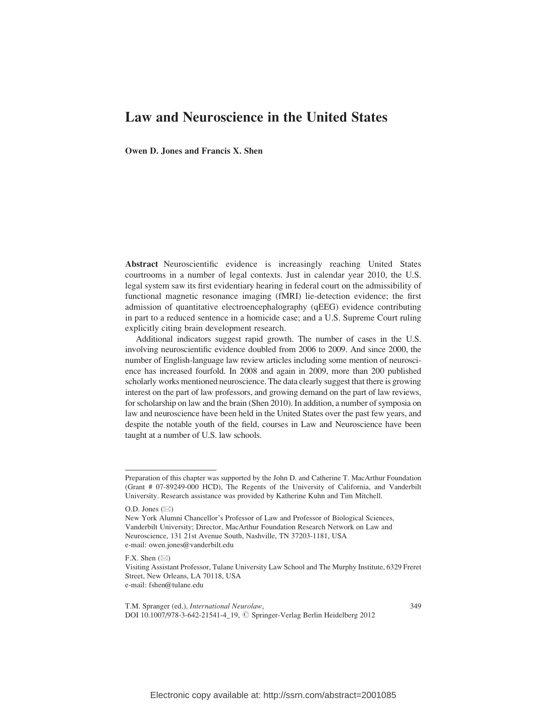# Law and Neuroscience in the United States

Owen D. Jones and Francis X. Shen

Abstract Neuroscientific evidence is increasingly reaching United States courtrooms in a number of legal contexts. Just in calendar year 2010, the U.S. legal system saw its first evidentiary hearing in federal court on the admissibility of functional magnetic resonance imaging (fMRI) lie-detection evidence; the first admission of quantitative electroencephalography (qEEG) evidence contributing in part to a reduced sentence in a homicide case; and a U.S. Supreme Court ruling explicitly citing brain development research.

Additional indicators suggest rapid growth. The number of cases in the U.S. involving neuroscientific evidence doubled from 2006 to 2009. And since 2000, the number of English-language law review articles including some mention of neuroscience has increased fourfold. In 2008 and again in 2009, more than 200 published scholarly works mentioned neuroscience. The data clearly suggest that there is growing interest on the part of law professors, and growing demand on the part of law reviews, for scholarship on law and the brain (Shen 2010). In addition, a number of symposia on law and neuroscience have been held in the United States over the past few years, and despite the notable youth of the field, courses in Law and Neuroscience have been taught at a number of U.S. law schools.

F.X. Shen  $(\boxtimes)$ 

349

Preparation of this chapter was supported by the John D. and Catherine T. MacArthur Foundation (Grant # 07-89249-000 HCD), The Regents of the University of California, and Vanderbilt University. Research assistance was provided by Katherine Kuhn and Tim Mitchell.

O.D. Jones  $(\boxtimes)$ 

New York Alumni Chancellor's Professor of Law and Professor of Biological Sciences, Vanderbilt University; Director, MacArthur Foundation Research Network on Law and Neuroscience, 131 21st Avenue South, Nashville, TN 37203-1181, USA e-mail: owen.jones@vanderbilt.edu

Visiting Assistant Professor, Tulane University Law School and The Murphy Institute, 6329 Freret Street, New Orleans, LA 70118, USA e-mail: fshen@tulane.edu

T.M. Spranger (ed.), International Neurolaw, DOI 10.1007/978-3-642-21541-4 19, © Springer-Verlag Berlin Heidelberg 2012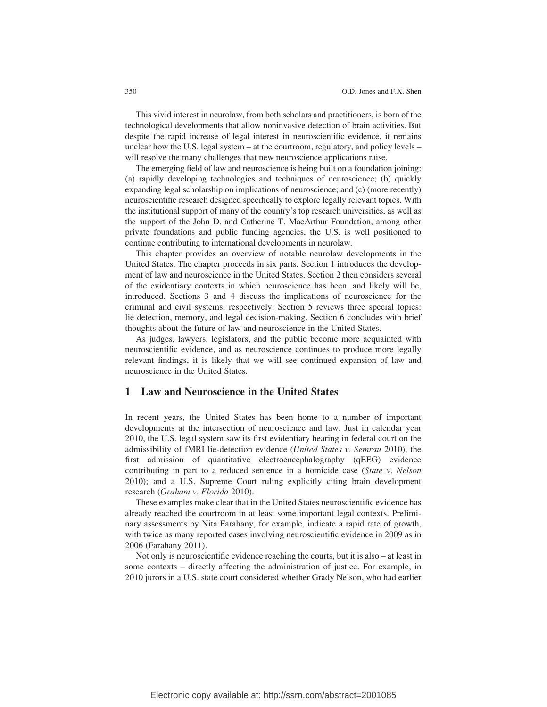This vivid interest in neurolaw, from both scholars and practitioners, is born of the technological developments that allow noninvasive detection of brain activities. But despite the rapid increase of legal interest in neuroscientific evidence, it remains unclear how the U.S. legal system – at the courtroom, regulatory, and policy levels – will resolve the many challenges that new neuroscience applications raise.

The emerging field of law and neuroscience is being built on a foundation joining: (a) rapidly developing technologies and techniques of neuroscience; (b) quickly expanding legal scholarship on implications of neuroscience; and (c) (more recently) neuroscientific research designed specifically to explore legally relevant topics. With the institutional support of many of the country's top research universities, as well as the support of the John D. and Catherine T. MacArthur Foundation, among other private foundations and public funding agencies, the U.S. is well positioned to continue contributing to international developments in neurolaw.

This chapter provides an overview of notable neurolaw developments in the United States. The chapter proceeds in six parts. Section 1 introduces the development of law and neuroscience in the United States. Section 2 then considers several of the evidentiary contexts in which neuroscience has been, and likely will be, introduced. Sections 3 and 4 discuss the implications of neuroscience for the criminal and civil systems, respectively. Section 5 reviews three special topics: lie detection, memory, and legal decision-making. Section 6 concludes with brief thoughts about the future of law and neuroscience in the United States.

As judges, lawyers, legislators, and the public become more acquainted with neuroscientific evidence, and as neuroscience continues to produce more legally relevant findings, it is likely that we will see continued expansion of law and neuroscience in the United States.

#### 1 Law and Neuroscience in the United States

In recent years, the United States has been home to a number of important developments at the intersection of neuroscience and law. Just in calendar year 2010, the U.S. legal system saw its first evidentiary hearing in federal court on the admissibility of fMRI lie-detection evidence (United States v. Semrau 2010), the first admission of quantitative electroencephalography (qEEG) evidence contributing in part to a reduced sentence in a homicide case (State v. Nelson 2010); and a U.S. Supreme Court ruling explicitly citing brain development research (Graham v. Florida 2010).

These examples make clear that in the United States neuroscientific evidence has already reached the courtroom in at least some important legal contexts. Preliminary assessments by Nita Farahany, for example, indicate a rapid rate of growth, with twice as many reported cases involving neuroscientific evidence in 2009 as in 2006 (Farahany 2011).

Not only is neuroscientific evidence reaching the courts, but it is also – at least in some contexts – directly affecting the administration of justice. For example, in 2010 jurors in a U.S. state court considered whether Grady Nelson, who had earlier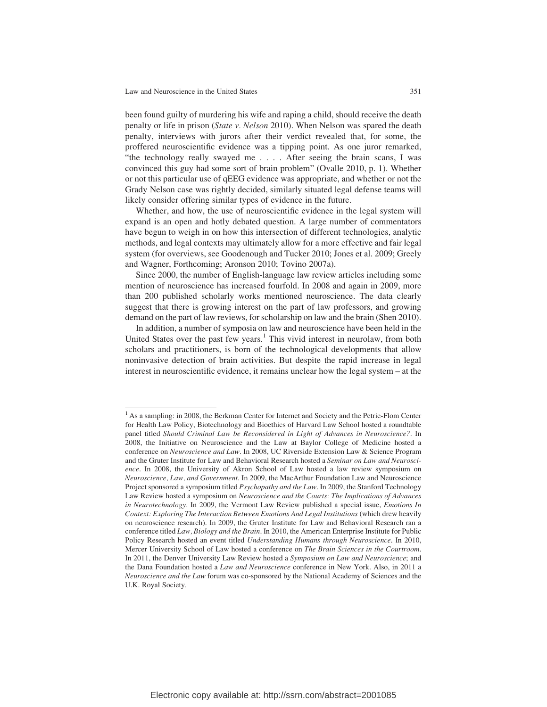been found guilty of murdering his wife and raping a child, should receive the death penalty or life in prison (State v. Nelson 2010). When Nelson was spared the death penalty, interviews with jurors after their verdict revealed that, for some, the proffered neuroscientific evidence was a tipping point. As one juror remarked, "the technology really swayed me . . . . After seeing the brain scans, I was convinced this guy had some sort of brain problem" (Ovalle 2010, p. 1). Whether or not this particular use of qEEG evidence was appropriate, and whether or not the Grady Nelson case was rightly decided, similarly situated legal defense teams will likely consider offering similar types of evidence in the future.

Whether, and how, the use of neuroscientific evidence in the legal system will expand is an open and hotly debated question. A large number of commentators have begun to weigh in on how this intersection of different technologies, analytic methods, and legal contexts may ultimately allow for a more effective and fair legal system (for overviews, see Goodenough and Tucker 2010; Jones et al. 2009; Greely and Wagner, Forthcoming; Aronson 2010; Tovino 2007a).

Since 2000, the number of English-language law review articles including some mention of neuroscience has increased fourfold. In 2008 and again in 2009, more than 200 published scholarly works mentioned neuroscience. The data clearly suggest that there is growing interest on the part of law professors, and growing demand on the part of law reviews, for scholarship on law and the brain (Shen 2010).

In addition, a number of symposia on law and neuroscience have been held in the United States over the past few years.<sup>1</sup> This vivid interest in neurolaw, from both scholars and practitioners, is born of the technological developments that allow noninvasive detection of brain activities. But despite the rapid increase in legal interest in neuroscientific evidence, it remains unclear how the legal system – at the

<sup>&</sup>lt;sup>1</sup> As a sampling: in 2008, the Berkman Center for Internet and Society and the Petrie-Flom Center for Health Law Policy, Biotechnology and Bioethics of Harvard Law School hosted a roundtable panel titled Should Criminal Law be Reconsidered in Light of Advances in Neuroscience?. In 2008, the Initiative on Neuroscience and the Law at Baylor College of Medicine hosted a conference on Neuroscience and Law. In 2008, UC Riverside Extension Law & Science Program and the Gruter Institute for Law and Behavioral Research hosted a Seminar on Law and Neuroscience. In 2008, the University of Akron School of Law hosted a law review symposium on Neuroscience, Law, and Government. In 2009, the MacArthur Foundation Law and Neuroscience Project sponsored a symposium titled *Psychopathy and the Law*. In 2009, the Stanford Technology Law Review hosted a symposium on Neuroscience and the Courts: The Implications of Advances in Neurotechnology. In 2009, the Vermont Law Review published a special issue, Emotions In Context: Exploring The Interaction Between Emotions And Legal Institutions (which drew heavily on neuroscience research). In 2009, the Gruter Institute for Law and Behavioral Research ran a conference titled Law, Biology and the Brain. In 2010, the American Enterprise Institute for Public Policy Research hosted an event titled Understanding Humans through Neuroscience. In 2010, Mercer University School of Law hosted a conference on The Brain Sciences in the Courtroom. In 2011, the Denver University Law Review hosted a Symposium on Law and Neuroscience; and the Dana Foundation hosted a Law and Neuroscience conference in New York. Also, in 2011 a Neuroscience and the Law forum was co-sponsored by the National Academy of Sciences and the U.K. Royal Society.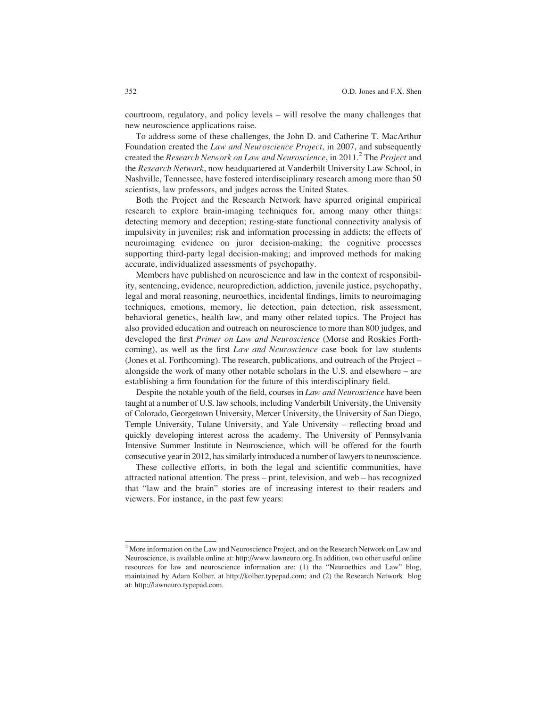courtroom, regulatory, and policy levels – will resolve the many challenges that new neuroscience applications raise.

To address some of these challenges, the John D. and Catherine T. MacArthur Foundation created the Law and Neuroscience Project, in 2007, and subsequently created the Research Network on Law and Neuroscience, in 2011.<sup>2</sup> The Project and the Research Network, now headquartered at Vanderbilt University Law School, in Nashville, Tennessee, have fostered interdisciplinary research among more than 50 scientists, law professors, and judges across the United States.

Both the Project and the Research Network have spurred original empirical research to explore brain-imaging techniques for, among many other things: detecting memory and deception; resting-state functional connectivity analysis of impulsivity in juveniles; risk and information processing in addicts; the effects of neuroimaging evidence on juror decision-making; the cognitive processes supporting third-party legal decision-making; and improved methods for making accurate, individualized assessments of psychopathy.

Members have published on neuroscience and law in the context of responsibility, sentencing, evidence, neuroprediction, addiction, juvenile justice, psychopathy, legal and moral reasoning, neuroethics, incidental findings, limits to neuroimaging techniques, emotions, memory, lie detection, pain detection, risk assessment, behavioral genetics, health law, and many other related topics. The Project has also provided education and outreach on neuroscience to more than 800 judges, and developed the first Primer on Law and Neuroscience (Morse and Roskies Forthcoming), as well as the first *Law and Neuroscience* case book for law students (Jones et al. Forthcoming). The research, publications, and outreach of the Project – alongside the work of many other notable scholars in the U.S. and elsewhere – are establishing a firm foundation for the future of this interdisciplinary field.

Despite the notable youth of the field, courses in Law and Neuroscience have been taught at a number of U.S. law schools, including Vanderbilt University, the University of Colorado, Georgetown University, Mercer University, the University of San Diego, Temple University, Tulane University, and Yale University – reflecting broad and quickly developing interest across the academy. The University of Pennsylvania Intensive Summer Institute in Neuroscience, which will be offered for the fourth consecutive year in 2012, has similarly introduced a number of lawyers to neuroscience.

These collective efforts, in both the legal and scientific communities, have attracted national attention. The press – print, television, and web – has recognized that "law and the brain" stories are of increasing interest to their readers and viewers. For instance, in the past few years:

<sup>2</sup> More information on the Law and Neuroscience Project, and on the Research Network on Law and Neuroscience, is available online at: http://www.lawneuro.org. In addition, two other useful online resources for law and neuroscience information are: (1) the "Neuroethics and Law" blog, maintained by Adam Kolber, at http://kolber.typepad.com; and (2) the Research Network blog at: http://lawneuro.typepad.com.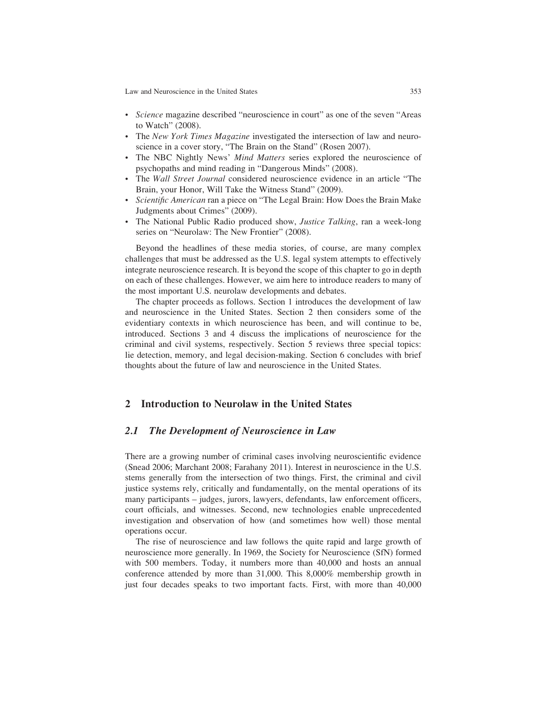Law and Neuroscience in the United States 353

- Science magazine described "neuroscience in court" as one of the seven "Areas to Watch" (2008).
- The New York Times Magazine investigated the intersection of law and neuroscience in a cover story, "The Brain on the Stand" (Rosen 2007).
- The NBC Nightly News' *Mind Matters* series explored the neuroscience of psychopaths and mind reading in "Dangerous Minds" (2008).
- The *Wall Street Journal* considered neuroscience evidence in an article "The Brain, your Honor, Will Take the Witness Stand" (2009).
- Scientific American ran a piece on "The Legal Brain: How Does the Brain Make Judgments about Crimes" (2009).
- The National Public Radio produced show, *Justice Talking*, ran a week-long series on "Neurolaw: The New Frontier" (2008).

Beyond the headlines of these media stories, of course, are many complex challenges that must be addressed as the U.S. legal system attempts to effectively integrate neuroscience research. It is beyond the scope of this chapter to go in depth on each of these challenges. However, we aim here to introduce readers to many of the most important U.S. neurolaw developments and debates.

The chapter proceeds as follows. Section 1 introduces the development of law and neuroscience in the United States. Section 2 then considers some of the evidentiary contexts in which neuroscience has been, and will continue to be, introduced. Sections 3 and 4 discuss the implications of neuroscience for the criminal and civil systems, respectively. Section 5 reviews three special topics: lie detection, memory, and legal decision-making. Section 6 concludes with brief thoughts about the future of law and neuroscience in the United States.

# 2 Introduction to Neurolaw in the United States

#### 2.1 The Development of Neuroscience in Law

There are a growing number of criminal cases involving neuroscientific evidence (Snead 2006; Marchant 2008; Farahany 2011). Interest in neuroscience in the U.S. stems generally from the intersection of two things. First, the criminal and civil justice systems rely, critically and fundamentally, on the mental operations of its many participants – judges, jurors, lawyers, defendants, law enforcement officers, court officials, and witnesses. Second, new technologies enable unprecedented investigation and observation of how (and sometimes how well) those mental operations occur.

The rise of neuroscience and law follows the quite rapid and large growth of neuroscience more generally. In 1969, the Society for Neuroscience (SfN) formed with 500 members. Today, it numbers more than 40,000 and hosts an annual conference attended by more than 31,000. This 8,000% membership growth in just four decades speaks to two important facts. First, with more than 40,000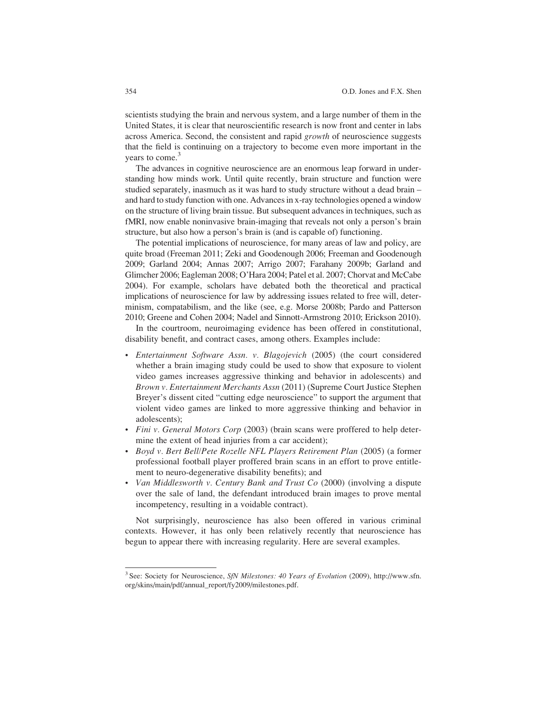scientists studying the brain and nervous system, and a large number of them in the United States, it is clear that neuroscientific research is now front and center in labs across America. Second, the consistent and rapid growth of neuroscience suggests that the field is continuing on a trajectory to become even more important in the years to come.<sup>3</sup>

The advances in cognitive neuroscience are an enormous leap forward in understanding how minds work. Until quite recently, brain structure and function were studied separately, inasmuch as it was hard to study structure without a dead brain – and hard to study function with one. Advances in x-ray technologies opened a window on the structure of living brain tissue. But subsequent advances in techniques, such as fMRI, now enable noninvasive brain-imaging that reveals not only a person's brain structure, but also how a person's brain is (and is capable of) functioning.

The potential implications of neuroscience, for many areas of law and policy, are quite broad (Freeman 2011; Zeki and Goodenough 2006; Freeman and Goodenough 2009; Garland 2004; Annas 2007; Arrigo 2007; Farahany 2009b; Garland and Glimcher 2006; Eagleman 2008; O'Hara 2004; Patel et al. 2007; Chorvat and McCabe 2004). For example, scholars have debated both the theoretical and practical implications of neuroscience for law by addressing issues related to free will, determinism, compatabilism, and the like (see, e.g. Morse 2008b; Pardo and Patterson 2010; Greene and Cohen 2004; Nadel and Sinnott-Armstrong 2010; Erickson 2010).

In the courtroom, neuroimaging evidence has been offered in constitutional, disability benefit, and contract cases, among others. Examples include:

- Entertainment Software Assn. v. Blagojevich (2005) (the court considered whether a brain imaging study could be used to show that exposure to violent video games increases aggressive thinking and behavior in adolescents) and Brown v. Entertainment Merchants Assn (2011) (Supreme Court Justice Stephen Breyer's dissent cited "cutting edge neuroscience" to support the argument that violent video games are linked to more aggressive thinking and behavior in adolescents);
- Fini v. General Motors Corp (2003) (brain scans were proffered to help determine the extent of head injuries from a car accident);
- Boyd v. Bert Bell/Pete Rozelle NFL Players Retirement Plan (2005) (a former professional football player proffered brain scans in an effort to prove entitlement to neuro-degenerative disability benefits); and
- Van Middlesworth v. Century Bank and Trust Co (2000) (involving a dispute over the sale of land, the defendant introduced brain images to prove mental incompetency, resulting in a voidable contract).

Not surprisingly, neuroscience has also been offered in various criminal contexts. However, it has only been relatively recently that neuroscience has begun to appear there with increasing regularity. Here are several examples.

<sup>&</sup>lt;sup>3</sup> See: Society for Neuroscience, *SfN Milestones: 40 Years of Evolution* (2009), http://www.sfn. org/skins/main/pdf/annual\_report/fy2009/milestones.pdf.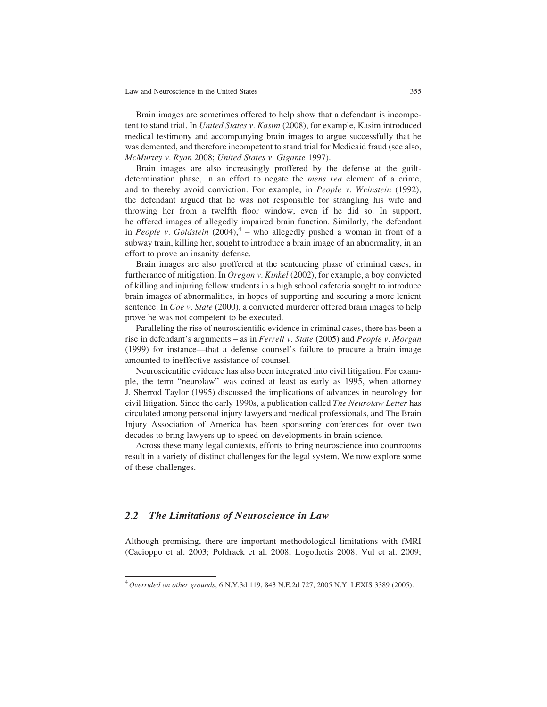Brain images are sometimes offered to help show that a defendant is incompetent to stand trial. In United States v. Kasim (2008), for example, Kasim introduced medical testimony and accompanying brain images to argue successfully that he was demented, and therefore incompetent to stand trial for Medicaid fraud (see also, McMurtey v. Ryan 2008; United States v. Gigante 1997).

Brain images are also increasingly proffered by the defense at the guiltdetermination phase, in an effort to negate the mens rea element of a crime, and to thereby avoid conviction. For example, in People v. Weinstein (1992), the defendant argued that he was not responsible for strangling his wife and throwing her from a twelfth floor window, even if he did so. In support, he offered images of allegedly impaired brain function. Similarly, the defendant in People v. Goldstein  $(2004)$ ,<sup>4</sup> – who allegedly pushed a woman in front of a subway train, killing her, sought to introduce a brain image of an abnormality, in an effort to prove an insanity defense.

Brain images are also proffered at the sentencing phase of criminal cases, in furtherance of mitigation. In Oregon v. Kinkel (2002), for example, a boy convicted of killing and injuring fellow students in a high school cafeteria sought to introduce brain images of abnormalities, in hopes of supporting and securing a more lenient sentence. In Coe v. State (2000), a convicted murderer offered brain images to help prove he was not competent to be executed.

Paralleling the rise of neuroscientific evidence in criminal cases, there has been a rise in defendant's arguments – as in Ferrell v. State (2005) and People v. Morgan (1999) for instance—that a defense counsel's failure to procure a brain image amounted to ineffective assistance of counsel.

Neuroscientific evidence has also been integrated into civil litigation. For example, the term "neurolaw" was coined at least as early as 1995, when attorney J. Sherrod Taylor (1995) discussed the implications of advances in neurology for civil litigation. Since the early 1990s, a publication called The Neurolaw Letter has circulated among personal injury lawyers and medical professionals, and The Brain Injury Association of America has been sponsoring conferences for over two decades to bring lawyers up to speed on developments in brain science.

Across these many legal contexts, efforts to bring neuroscience into courtrooms result in a variety of distinct challenges for the legal system. We now explore some of these challenges.

## 2.2 The Limitations of Neuroscience in Law

Although promising, there are important methodological limitations with fMRI (Cacioppo et al. 2003; Poldrack et al. 2008; Logothetis 2008; Vul et al. 2009;

<sup>4</sup> Overruled on other grounds, 6 N.Y.3d 119, 843 N.E.2d 727, 2005 N.Y. LEXIS 3389 (2005).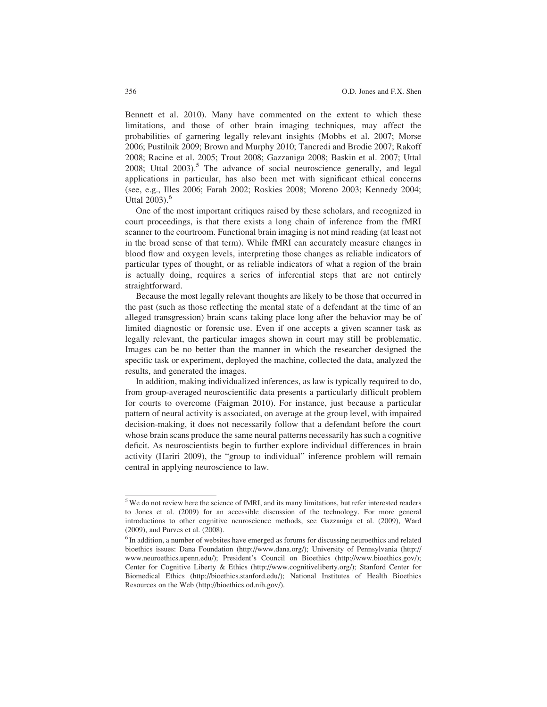Bennett et al. 2010). Many have commented on the extent to which these limitations, and those of other brain imaging techniques, may affect the probabilities of garnering legally relevant insights (Mobbs et al. 2007; Morse 2006; Pustilnik 2009; Brown and Murphy 2010; Tancredi and Brodie 2007; Rakoff 2008; Racine et al. 2005; Trout 2008; Gazzaniga 2008; Baskin et al. 2007; Uttal 2008; Uttal 2003).<sup>5</sup> The advance of social neuroscience generally, and legal applications in particular, has also been met with significant ethical concerns (see, e.g., Illes 2006; Farah 2002; Roskies 2008; Moreno 2003; Kennedy 2004; Uttal  $2003$ . $<sup>6</sup>$ </sup>

One of the most important critiques raised by these scholars, and recognized in court proceedings, is that there exists a long chain of inference from the fMRI scanner to the courtroom. Functional brain imaging is not mind reading (at least not in the broad sense of that term). While fMRI can accurately measure changes in blood flow and oxygen levels, interpreting those changes as reliable indicators of particular types of thought, or as reliable indicators of what a region of the brain is actually doing, requires a series of inferential steps that are not entirely straightforward.

Because the most legally relevant thoughts are likely to be those that occurred in the past (such as those reflecting the mental state of a defendant at the time of an alleged transgression) brain scans taking place long after the behavior may be of limited diagnostic or forensic use. Even if one accepts a given scanner task as legally relevant, the particular images shown in court may still be problematic. Images can be no better than the manner in which the researcher designed the specific task or experiment, deployed the machine, collected the data, analyzed the results, and generated the images.

In addition, making individualized inferences, as law is typically required to do, from group-averaged neuroscientific data presents a particularly difficult problem for courts to overcome (Faigman 2010). For instance, just because a particular pattern of neural activity is associated, on average at the group level, with impaired decision-making, it does not necessarily follow that a defendant before the court whose brain scans produce the same neural patterns necessarily has such a cognitive deficit. As neuroscientists begin to further explore individual differences in brain activity (Hariri 2009), the "group to individual" inference problem will remain central in applying neuroscience to law.

<sup>&</sup>lt;sup>5</sup> We do not review here the science of fMRI, and its many limitations, but refer interested readers to Jones et al. (2009) for an accessible discussion of the technology. For more general introductions to other cognitive neuroscience methods, see Gazzaniga et al. (2009), Ward (2009), and Purves et al. (2008).

<sup>&</sup>lt;sup>6</sup> In addition, a number of websites have emerged as forums for discussing neuroethics and related bioethics issues: Dana Foundation (http://www.dana.org/); University of Pennsylvania (http:// www.neuroethics.upenn.edu/); President's Council on Bioethics (http://www.bioethics.gov/); Center for Cognitive Liberty & Ethics (http://www.cognitiveliberty.org/); Stanford Center for Biomedical Ethics (http://bioethics.stanford.edu/); National Institutes of Health Bioethics Resources on the Web (http://bioethics.od.nih.gov/).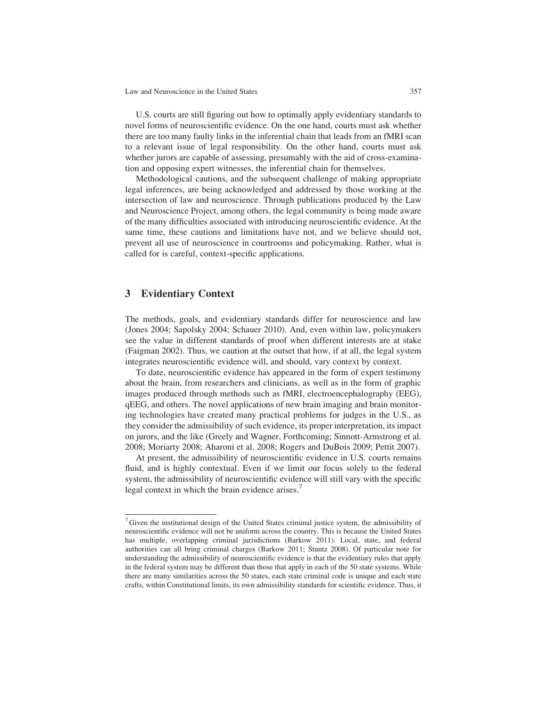U.S. courts are still figuring out how to optimally apply evidentiary standards to novel forms of neuroscientific evidence. On the one hand, courts must ask whether there are too many faulty links in the inferential chain that leads from an fMRI scan to a relevant issue of legal responsibility. On the other hand, courts must ask whether jurors are capable of assessing, presumably with the aid of cross-examination and opposing expert witnesses, the inferential chain for themselves.

Methodological cautions, and the subsequent challenge of making appropriate legal inferences, are being acknowledged and addressed by those working at the intersection of law and neuroscience. Through publications produced by the Law and Neuroscience Project, among others, the legal community is being made aware of the many difficulties associated with introducing neuroscientific evidence. At the same time, these cautions and limitations have not, and we believe should not, prevent all use of neuroscience in courtrooms and policymaking. Rather, what is called for is careful, context-specific applications.

## 3 Evidentiary Context

The methods, goals, and evidentiary standards differ for neuroscience and law (Jones 2004; Sapolsky 2004; Schauer 2010). And, even within law, policymakers see the value in different standards of proof when different interests are at stake (Faigman 2002). Thus, we caution at the outset that how, if at all, the legal system integrates neuroscientific evidence will, and should, vary context by context.

To date, neuroscientific evidence has appeared in the form of expert testimony about the brain, from researchers and clinicians, as well as in the form of graphic images produced through methods such as fMRI, electroencephalography (EEG), qEEG, and others. The novel applications of new brain imaging and brain monitoring technologies have created many practical problems for judges in the U.S., as they consider the admissibility of such evidence, its proper interpretation, its impact on jurors, and the like (Greely and Wagner, Forthcoming; Sinnott-Armstrong et al. 2008; Moriarty 2008; Aharoni et al. 2008; Rogers and DuBois 2009; Pettit 2007).

At present, the admissibility of neuroscientific evidence in U.S. courts remains fluid, and is highly contextual. Even if we limit our focus solely to the federal system, the admissibility of neuroscientific evidence will still vary with the specific legal context in which the brain evidence arises.<sup>7</sup>

<sup>7</sup> Given the institutional design of the United States criminal justice system, the admissibility of neuroscientific evidence will not be uniform across the country. This is because the United States has multiple, overlapping criminal jurisdictions (Barkow 2011). Local, state, and federal authorities can all bring criminal charges (Barkow 2011; Stuntz 2008). Of particular note for understanding the admissibility of neuroscientific evidence is that the evidentiary rules that apply in the federal system may be different than those that apply in each of the 50 state systems. While there are many similarities across the 50 states, each state criminal code is unique and each state crafts, within Constitutional limits, its own admissibility standards for scientific evidence. Thus, it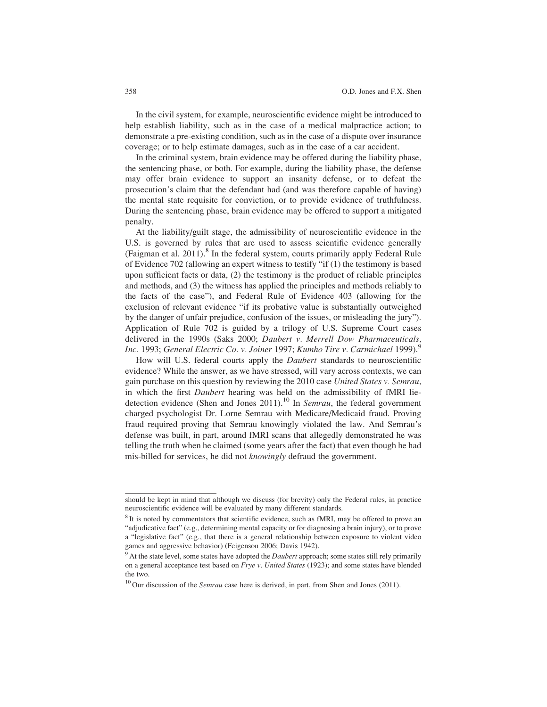In the civil system, for example, neuroscientific evidence might be introduced to help establish liability, such as in the case of a medical malpractice action; to demonstrate a pre-existing condition, such as in the case of a dispute over insurance coverage; or to help estimate damages, such as in the case of a car accident.

In the criminal system, brain evidence may be offered during the liability phase, the sentencing phase, or both. For example, during the liability phase, the defense may offer brain evidence to support an insanity defense, or to defeat the prosecution's claim that the defendant had (and was therefore capable of having) the mental state requisite for conviction, or to provide evidence of truthfulness. During the sentencing phase, brain evidence may be offered to support a mitigated penalty.

At the liability/guilt stage, the admissibility of neuroscientific evidence in the U.S. is governed by rules that are used to assess scientific evidence generally (Faigman et al. 2011).<sup>8</sup> In the federal system, courts primarily apply Federal Rule of Evidence 702 (allowing an expert witness to testify "if (1) the testimony is based upon sufficient facts or data, (2) the testimony is the product of reliable principles and methods, and (3) the witness has applied the principles and methods reliably to the facts of the case"), and Federal Rule of Evidence 403 (allowing for the exclusion of relevant evidence "if its probative value is substantially outweighed by the danger of unfair prejudice, confusion of the issues, or misleading the jury"). Application of Rule 702 is guided by a trilogy of U.S. Supreme Court cases delivered in the 1990s (Saks 2000; Daubert v. Merrell Dow Pharmaceuticals, Inc. 1993; General Electric Co. v. Joiner 1997; Kumho Tire v. Carmichael 1999).<sup>9</sup>

How will U.S. federal courts apply the Daubert standards to neuroscientific evidence? While the answer, as we have stressed, will vary across contexts, we can gain purchase on this question by reviewing the 2010 case United States v. Semrau, in which the first Daubert hearing was held on the admissibility of fMRI liedetection evidence (Shen and Jones  $2011$ ).<sup>10</sup> In Semrau, the federal government charged psychologist Dr. Lorne Semrau with Medicare/Medicaid fraud. Proving fraud required proving that Semrau knowingly violated the law. And Semrau's defense was built, in part, around fMRI scans that allegedly demonstrated he was telling the truth when he claimed (some years after the fact) that even though he had mis-billed for services, he did not knowingly defraud the government.

should be kept in mind that although we discuss (for brevity) only the Federal rules, in practice neuroscientific evidence will be evaluated by many different standards.

<sup>&</sup>lt;sup>8</sup>It is noted by commentators that scientific evidence, such as fMRI, may be offered to prove an "adjudicative fact" (e.g., determining mental capacity or for diagnosing a brain injury), or to prove a "legislative fact" (e.g., that there is a general relationship between exposure to violent video games and aggressive behavior) (Feigenson 2006; Davis 1942).

 $9$  At the state level, some states have adopted the *Daubert* approach; some states still rely primarily on a general acceptance test based on Frye v. United States (1923); and some states have blended the two.

 $10$  Our discussion of the *Semrau* case here is derived, in part, from Shen and Jones (2011).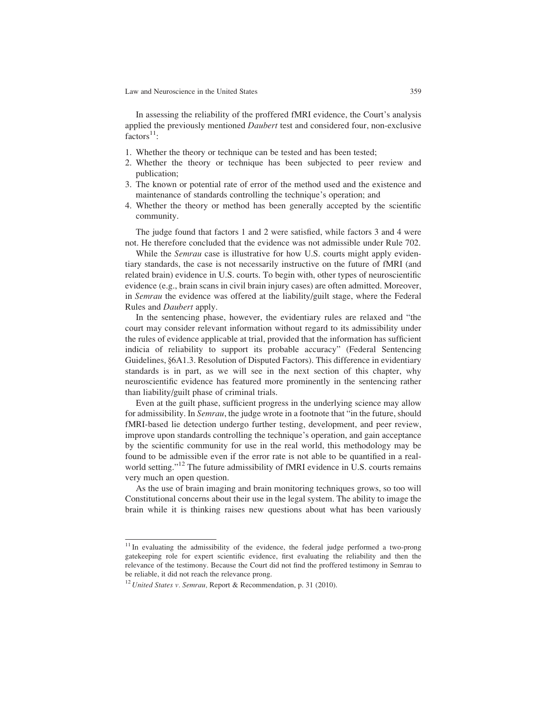In assessing the reliability of the proffered fMRI evidence, the Court's analysis applied the previously mentioned *Daubert* test and considered four, non-exclusive  $factors<sup>11</sup>$ :

- 1. Whether the theory or technique can be tested and has been tested;
- 2. Whether the theory or technique has been subjected to peer review and publication;
- 3. The known or potential rate of error of the method used and the existence and maintenance of standards controlling the technique's operation; and
- 4. Whether the theory or method has been generally accepted by the scientific community.

The judge found that factors 1 and 2 were satisfied, while factors 3 and 4 were not. He therefore concluded that the evidence was not admissible under Rule 702.

While the *Semrau* case is illustrative for how U.S. courts might apply evidentiary standards, the case is not necessarily instructive on the future of fMRI (and related brain) evidence in U.S. courts. To begin with, other types of neuroscientific evidence (e.g., brain scans in civil brain injury cases) are often admitted. Moreover, in Semrau the evidence was offered at the liability/guilt stage, where the Federal Rules and Daubert apply.

In the sentencing phase, however, the evidentiary rules are relaxed and "the court may consider relevant information without regard to its admissibility under the rules of evidence applicable at trial, provided that the information has sufficient indicia of reliability to support its probable accuracy" (Federal Sentencing Guidelines,  $\delta$ 6A1.3. Resolution of Disputed Factors). This difference in evidentiary standards is in part, as we will see in the next section of this chapter, why neuroscientific evidence has featured more prominently in the sentencing rather than liability/guilt phase of criminal trials.

Even at the guilt phase, sufficient progress in the underlying science may allow for admissibility. In *Semrau*, the judge wrote in a footnote that "in the future, should fMRI-based lie detection undergo further testing, development, and peer review, improve upon standards controlling the technique's operation, and gain acceptance by the scientific community for use in the real world, this methodology may be found to be admissible even if the error rate is not able to be quantified in a realworld setting."<sup>12</sup> The future admissibility of fMRI evidence in U.S. courts remains very much an open question.

As the use of brain imaging and brain monitoring techniques grows, so too will Constitutional concerns about their use in the legal system. The ability to image the brain while it is thinking raises new questions about what has been variously

<sup>&</sup>lt;sup>11</sup> In evaluating the admissibility of the evidence, the federal judge performed a two-prong gatekeeping role for expert scientific evidence, first evaluating the reliability and then the relevance of the testimony. Because the Court did not find the proffered testimony in Semrau to be reliable, it did not reach the relevance prong.

 $12$  United States v. Semrau, Report & Recommendation, p. 31 (2010).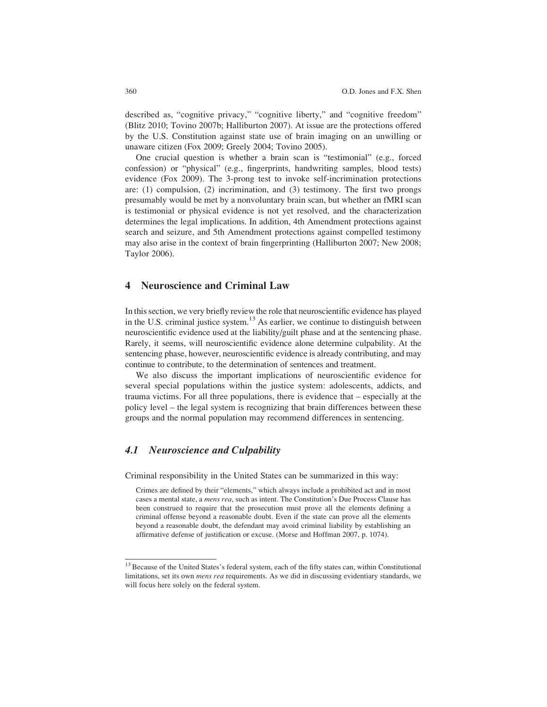described as, "cognitive privacy," "cognitive liberty," and "cognitive freedom" (Blitz 2010; Tovino 2007b; Halliburton 2007). At issue are the protections offered by the U.S. Constitution against state use of brain imaging on an unwilling or unaware citizen (Fox 2009; Greely 2004; Tovino 2005).

One crucial question is whether a brain scan is "testimonial" (e.g., forced confession) or "physical" (e.g., fingerprints, handwriting samples, blood tests) evidence (Fox 2009). The 3-prong test to invoke self-incrimination protections are: (1) compulsion, (2) incrimination, and (3) testimony. The first two prongs presumably would be met by a nonvoluntary brain scan, but whether an fMRI scan is testimonial or physical evidence is not yet resolved, and the characterization determines the legal implications. In addition, 4th Amendment protections against search and seizure, and 5th Amendment protections against compelled testimony may also arise in the context of brain fingerprinting (Halliburton 2007; New 2008; Taylor 2006).

## 4 Neuroscience and Criminal Law

In this section, we very briefly review the role that neuroscientific evidence has played in the U.S. criminal justice system.<sup>13</sup> As earlier, we continue to distinguish between neuroscientific evidence used at the liability/guilt phase and at the sentencing phase. Rarely, it seems, will neuroscientific evidence alone determine culpability. At the sentencing phase, however, neuroscientific evidence is already contributing, and may continue to contribute, to the determination of sentences and treatment.

We also discuss the important implications of neuroscientific evidence for several special populations within the justice system: adolescents, addicts, and trauma victims. For all three populations, there is evidence that – especially at the policy level – the legal system is recognizing that brain differences between these groups and the normal population may recommend differences in sentencing.

#### 4.1 Neuroscience and Culpability

Criminal responsibility in the United States can be summarized in this way:

Crimes are defined by their "elements," which always include a prohibited act and in most cases a mental state, a mens rea, such as intent. The Constitution's Due Process Clause has been construed to require that the prosecution must prove all the elements defining a criminal offense beyond a reasonable doubt. Even if the state can prove all the elements beyond a reasonable doubt, the defendant may avoid criminal liability by establishing an affirmative defense of justification or excuse. (Morse and Hoffman 2007, p. 1074).

<sup>&</sup>lt;sup>13</sup> Because of the United States's federal system, each of the fifty states can, within Constitutional limitations, set its own mens rea requirements. As we did in discussing evidentiary standards, we will focus here solely on the federal system.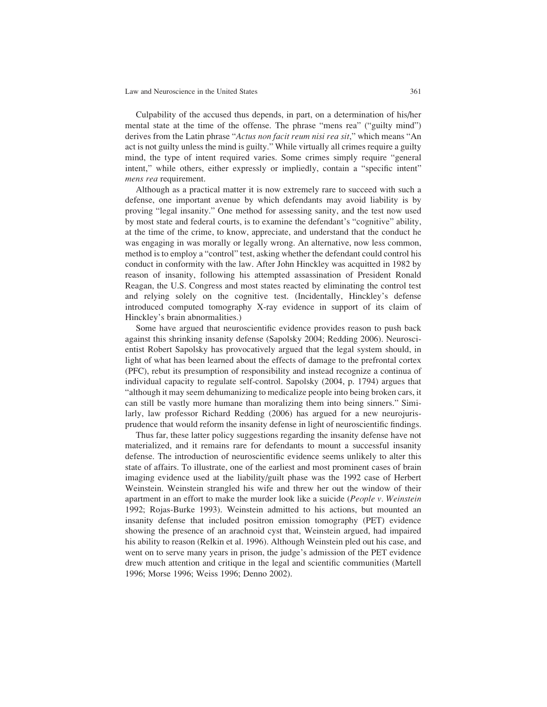Culpability of the accused thus depends, in part, on a determination of his/her mental state at the time of the offense. The phrase "mens rea" ("guilty mind") derives from the Latin phrase "Actus non facit reum nisi rea sit," which means "An act is not guilty unless the mind is guilty." While virtually all crimes require a guilty mind, the type of intent required varies. Some crimes simply require "general intent," while others, either expressly or impliedly, contain a "specific intent" mens rea requirement.

Although as a practical matter it is now extremely rare to succeed with such a defense, one important avenue by which defendants may avoid liability is by proving "legal insanity." One method for assessing sanity, and the test now used by most state and federal courts, is to examine the defendant's "cognitive" ability, at the time of the crime, to know, appreciate, and understand that the conduct he was engaging in was morally or legally wrong. An alternative, now less common, method is to employ a "control" test, asking whether the defendant could control his conduct in conformity with the law. After John Hinckley was acquitted in 1982 by reason of insanity, following his attempted assassination of President Ronald Reagan, the U.S. Congress and most states reacted by eliminating the control test and relying solely on the cognitive test. (Incidentally, Hinckley's defense introduced computed tomography X-ray evidence in support of its claim of Hinckley's brain abnormalities.)

Some have argued that neuroscientific evidence provides reason to push back against this shrinking insanity defense (Sapolsky 2004; Redding 2006). Neuroscientist Robert Sapolsky has provocatively argued that the legal system should, in light of what has been learned about the effects of damage to the prefrontal cortex (PFC), rebut its presumption of responsibility and instead recognize a continua of individual capacity to regulate self-control. Sapolsky (2004, p. 1794) argues that "although it may seem dehumanizing to medicalize people into being broken cars, it can still be vastly more humane than moralizing them into being sinners." Similarly, law professor Richard Redding (2006) has argued for a new neurojurisprudence that would reform the insanity defense in light of neuroscientific findings.

Thus far, these latter policy suggestions regarding the insanity defense have not materialized, and it remains rare for defendants to mount a successful insanity defense. The introduction of neuroscientific evidence seems unlikely to alter this state of affairs. To illustrate, one of the earliest and most prominent cases of brain imaging evidence used at the liability/guilt phase was the 1992 case of Herbert Weinstein. Weinstein strangled his wife and threw her out the window of their apartment in an effort to make the murder look like a suicide (People v. Weinstein 1992; Rojas-Burke 1993). Weinstein admitted to his actions, but mounted an insanity defense that included positron emission tomography (PET) evidence showing the presence of an arachnoid cyst that, Weinstein argued, had impaired his ability to reason (Relkin et al. 1996). Although Weinstein pled out his case, and went on to serve many years in prison, the judge's admission of the PET evidence drew much attention and critique in the legal and scientific communities (Martell 1996; Morse 1996; Weiss 1996; Denno 2002).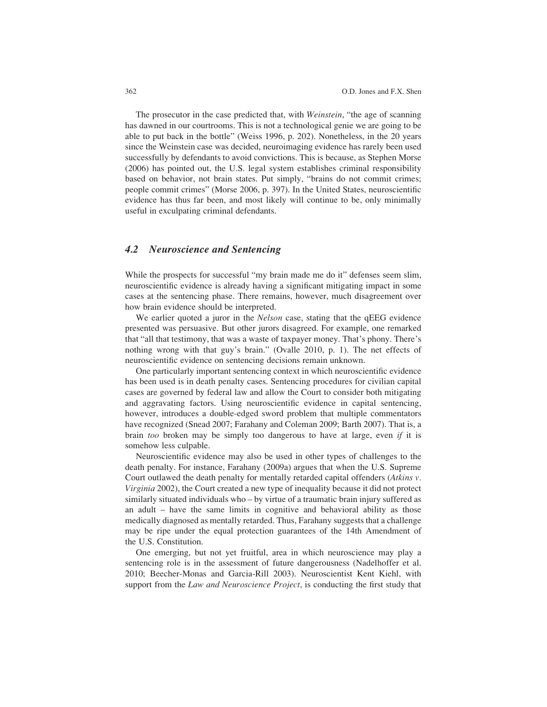The prosecutor in the case predicted that, with Weinstein, "the age of scanning has dawned in our courtrooms. This is not a technological genie we are going to be able to put back in the bottle" (Weiss 1996, p. 202). Nonetheless, in the 20 years since the Weinstein case was decided, neuroimaging evidence has rarely been used successfully by defendants to avoid convictions. This is because, as Stephen Morse (2006) has pointed out, the U.S. legal system establishes criminal responsibility based on behavior, not brain states. Put simply, "brains do not commit crimes; people commit crimes" (Morse 2006, p. 397). In the United States, neuroscientific evidence has thus far been, and most likely will continue to be, only minimally useful in exculpating criminal defendants.

## 4.2 Neuroscience and Sentencing

While the prospects for successful "my brain made me do it" defenses seem slim, neuroscientific evidence is already having a significant mitigating impact in some cases at the sentencing phase. There remains, however, much disagreement over how brain evidence should be interpreted.

We earlier quoted a juror in the *Nelson* case, stating that the qEEG evidence presented was persuasive. But other jurors disagreed. For example, one remarked that "all that testimony, that was a waste of taxpayer money. That's phony. There's nothing wrong with that guy's brain." (Ovalle 2010, p. 1). The net effects of neuroscientific evidence on sentencing decisions remain unknown.

One particularly important sentencing context in which neuroscientific evidence has been used is in death penalty cases. Sentencing procedures for civilian capital cases are governed by federal law and allow the Court to consider both mitigating and aggravating factors. Using neuroscientific evidence in capital sentencing, however, introduces a double-edged sword problem that multiple commentators have recognized (Snead 2007; Farahany and Coleman 2009; Barth 2007). That is, a brain too broken may be simply too dangerous to have at large, even if it is somehow less culpable.

Neuroscientific evidence may also be used in other types of challenges to the death penalty. For instance, Farahany (2009a) argues that when the U.S. Supreme Court outlawed the death penalty for mentally retarded capital offenders (Atkins v. Virginia 2002), the Court created a new type of inequality because it did not protect similarly situated individuals who – by virtue of a traumatic brain injury suffered as an adult – have the same limits in cognitive and behavioral ability as those medically diagnosed as mentally retarded. Thus, Farahany suggests that a challenge may be ripe under the equal protection guarantees of the 14th Amendment of the U.S. Constitution.

One emerging, but not yet fruitful, area in which neuroscience may play a sentencing role is in the assessment of future dangerousness (Nadelhoffer et al. 2010; Beecher-Monas and Garcia-Rill 2003). Neuroscientist Kent Kiehl, with support from the *Law and Neuroscience Project*, is conducting the first study that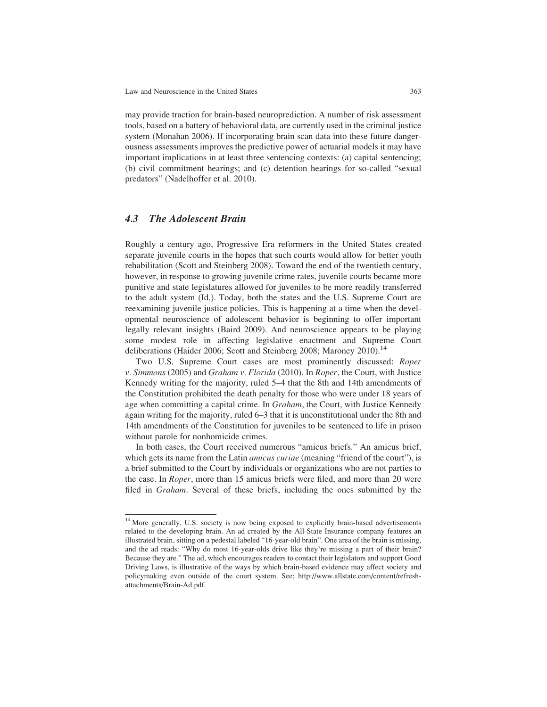may provide traction for brain-based neuroprediction. A number of risk assessment tools, based on a battery of behavioral data, are currently used in the criminal justice system (Monahan 2006). If incorporating brain scan data into these future dangerousness assessments improves the predictive power of actuarial models it may have important implications in at least three sentencing contexts: (a) capital sentencing; (b) civil commitment hearings; and (c) detention hearings for so-called "sexual predators" (Nadelhoffer et al. 2010).

## 4.3 The Adolescent Brain

Roughly a century ago, Progressive Era reformers in the United States created separate juvenile courts in the hopes that such courts would allow for better youth rehabilitation (Scott and Steinberg 2008). Toward the end of the twentieth century, however, in response to growing juvenile crime rates, juvenile courts became more punitive and state legislatures allowed for juveniles to be more readily transferred to the adult system (Id.). Today, both the states and the U.S. Supreme Court are reexamining juvenile justice policies. This is happening at a time when the developmental neuroscience of adolescent behavior is beginning to offer important legally relevant insights (Baird 2009). And neuroscience appears to be playing some modest role in affecting legislative enactment and Supreme Court deliberations (Haider 2006; Scott and Steinberg 2008; Maroney 2010).<sup>14</sup>

Two U.S. Supreme Court cases are most prominently discussed: Roper v. Simmons (2005) and Graham v. Florida (2010). In Roper, the Court, with Justice Kennedy writing for the majority, ruled 5–4 that the 8th and 14th amendments of the Constitution prohibited the death penalty for those who were under 18 years of age when committing a capital crime. In Graham, the Court, with Justice Kennedy again writing for the majority, ruled 6–3 that it is unconstitutional under the 8th and 14th amendments of the Constitution for juveniles to be sentenced to life in prison without parole for nonhomicide crimes.

In both cases, the Court received numerous "amicus briefs." An amicus brief, which gets its name from the Latin *amicus curiae* (meaning "friend of the court"), is a brief submitted to the Court by individuals or organizations who are not parties to the case. In Roper, more than 15 amicus briefs were filed, and more than 20 were filed in Graham. Several of these briefs, including the ones submitted by the

<sup>&</sup>lt;sup>14</sup> More generally, U.S. society is now being exposed to explicitly brain-based advertisements related to the developing brain. An ad created by the All-State Insurance company features an illustrated brain, sitting on a pedestal labeled "16-year-old brain". One area of the brain is missing, and the ad reads: "Why do most 16-year-olds drive like they're missing a part of their brain? Because they are." The ad, which encourages readers to contact their legislators and support Good Driving Laws, is illustrative of the ways by which brain-based evidence may affect society and policymaking even outside of the court system. See: http://www.allstate.com/content/refreshattachments/Brain-Ad.pdf.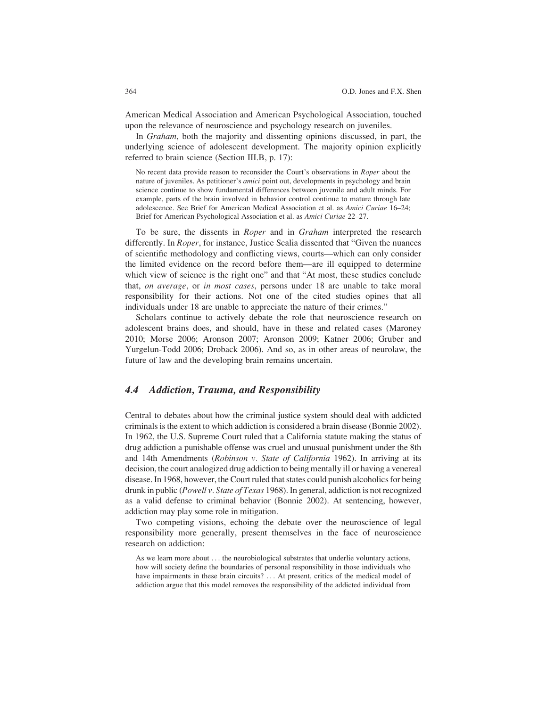American Medical Association and American Psychological Association, touched upon the relevance of neuroscience and psychology research on juveniles.

In *Graham*, both the majority and dissenting opinions discussed, in part, the underlying science of adolescent development. The majority opinion explicitly referred to brain science (Section III.B, p. 17):

No recent data provide reason to reconsider the Court's observations in Roper about the nature of juveniles. As petitioner's amici point out, developments in psychology and brain science continue to show fundamental differences between juvenile and adult minds. For example, parts of the brain involved in behavior control continue to mature through late adolescence. See Brief for American Medical Association et al. as Amici Curiae 16–24; Brief for American Psychological Association et al. as Amici Curiae 22–27.

To be sure, the dissents in Roper and in Graham interpreted the research differently. In Roper, for instance, Justice Scalia dissented that "Given the nuances of scientific methodology and conflicting views, courts—which can only consider the limited evidence on the record before them—are ill equipped to determine which view of science is the right one" and that "At most, these studies conclude that, on average, or in most cases, persons under 18 are unable to take moral responsibility for their actions. Not one of the cited studies opines that all individuals under 18 are unable to appreciate the nature of their crimes."

Scholars continue to actively debate the role that neuroscience research on adolescent brains does, and should, have in these and related cases (Maroney 2010; Morse 2006; Aronson 2007; Aronson 2009; Katner 2006; Gruber and Yurgelun-Todd 2006; Droback 2006). And so, as in other areas of neurolaw, the future of law and the developing brain remains uncertain.

#### 4.4 Addiction, Trauma, and Responsibility

Central to debates about how the criminal justice system should deal with addicted criminals is the extent to which addiction is considered a brain disease (Bonnie 2002). In 1962, the U.S. Supreme Court ruled that a California statute making the status of drug addiction a punishable offense was cruel and unusual punishment under the 8th and 14th Amendments (Robinson v. State of California 1962). In arriving at its decision, the court analogized drug addiction to being mentally ill or having a venereal disease. In 1968, however, the Court ruled that states could punish alcoholics for being drunk in public (Powell v. State of Texas 1968). In general, addiction is not recognized as a valid defense to criminal behavior (Bonnie 2002). At sentencing, however, addiction may play some role in mitigation.

Two competing visions, echoing the debate over the neuroscience of legal responsibility more generally, present themselves in the face of neuroscience research on addiction:

As we learn more about ... the neurobiological substrates that underlie voluntary actions, how will society define the boundaries of personal responsibility in those individuals who have impairments in these brain circuits? ... At present, critics of the medical model of addiction argue that this model removes the responsibility of the addicted individual from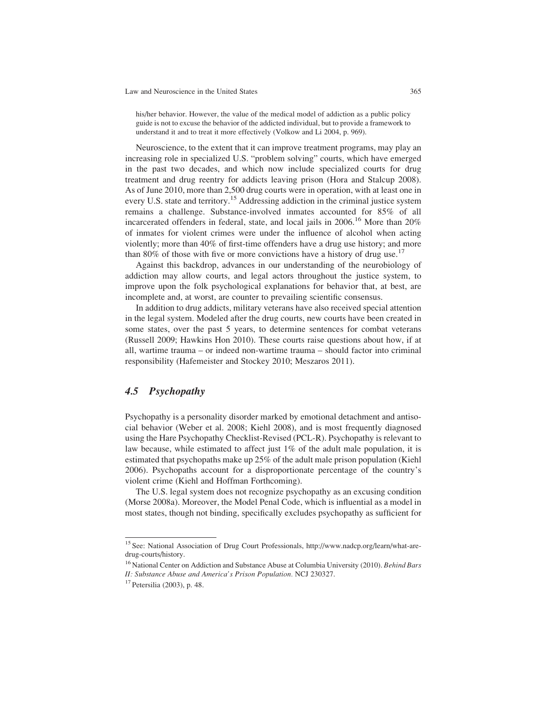Law and Neuroscience in the United States 365

his/her behavior. However, the value of the medical model of addiction as a public policy guide is not to excuse the behavior of the addicted individual, but to provide a framework to understand it and to treat it more effectively (Volkow and Li 2004, p. 969).

Neuroscience, to the extent that it can improve treatment programs, may play an increasing role in specialized U.S. "problem solving" courts, which have emerged in the past two decades, and which now include specialized courts for drug treatment and drug reentry for addicts leaving prison (Hora and Stalcup 2008). As of June 2010, more than 2,500 drug courts were in operation, with at least one in every U.S. state and territory.<sup>15</sup> Addressing addiction in the criminal justice system remains a challenge. Substance-involved inmates accounted for 85% of all incarcerated offenders in federal, state, and local jails in  $2006$ .<sup>16</sup> More than  $20\%$ of inmates for violent crimes were under the influence of alcohol when acting violently; more than 40% of first-time offenders have a drug use history; and more than 80% of those with five or more convictions have a history of drug use.<sup>17</sup>

Against this backdrop, advances in our understanding of the neurobiology of addiction may allow courts, and legal actors throughout the justice system, to improve upon the folk psychological explanations for behavior that, at best, are incomplete and, at worst, are counter to prevailing scientific consensus.

In addition to drug addicts, military veterans have also received special attention in the legal system. Modeled after the drug courts, new courts have been created in some states, over the past 5 years, to determine sentences for combat veterans (Russell 2009; Hawkins Hon 2010). These courts raise questions about how, if at all, wartime trauma – or indeed non-wartime trauma – should factor into criminal responsibility (Hafemeister and Stockey 2010; Meszaros 2011).

## 4.5 Psychopathy

Psychopathy is a personality disorder marked by emotional detachment and antisocial behavior (Weber et al. 2008; Kiehl 2008), and is most frequently diagnosed using the Hare Psychopathy Checklist-Revised (PCL-R). Psychopathy is relevant to law because, while estimated to affect just 1% of the adult male population, it is estimated that psychopaths make up 25% of the adult male prison population (Kiehl 2006). Psychopaths account for a disproportionate percentage of the country's violent crime (Kiehl and Hoffman Forthcoming).

The U.S. legal system does not recognize psychopathy as an excusing condition (Morse 2008a). Moreover, the Model Penal Code, which is influential as a model in most states, though not binding, specifically excludes psychopathy as sufficient for

<sup>15</sup> See: National Association of Drug Court Professionals, http://www.nadcp.org/learn/what-aredrug-courts/history.

<sup>&</sup>lt;sup>16</sup> National Center on Addiction and Substance Abuse at Columbia University (2010). Behind Bars II: Substance Abuse and America's Prison Population. NCJ 230327.

<sup>17</sup> Petersilia (2003), p. 48.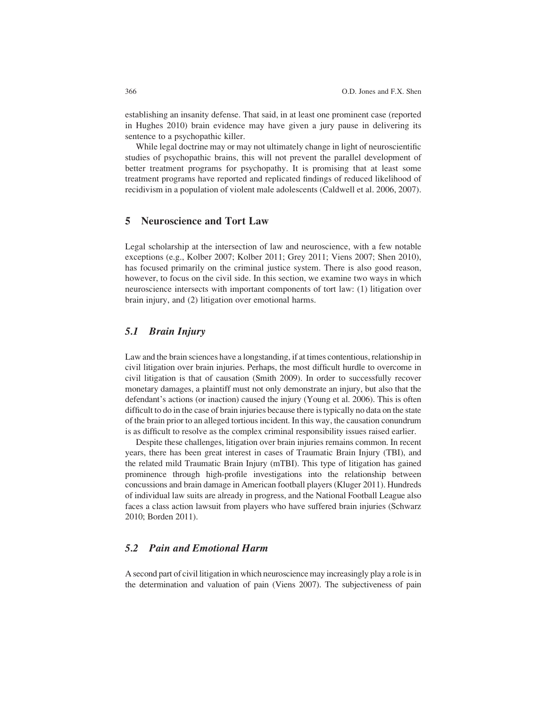establishing an insanity defense. That said, in at least one prominent case (reported in Hughes 2010) brain evidence may have given a jury pause in delivering its sentence to a psychopathic killer.

While legal doctrine may or may not ultimately change in light of neuroscientific studies of psychopathic brains, this will not prevent the parallel development of better treatment programs for psychopathy. It is promising that at least some treatment programs have reported and replicated findings of reduced likelihood of recidivism in a population of violent male adolescents (Caldwell et al. 2006, 2007).

## 5 Neuroscience and Tort Law

Legal scholarship at the intersection of law and neuroscience, with a few notable exceptions (e.g., Kolber 2007; Kolber 2011; Grey 2011; Viens 2007; Shen 2010), has focused primarily on the criminal justice system. There is also good reason, however, to focus on the civil side. In this section, we examine two ways in which neuroscience intersects with important components of tort law: (1) litigation over brain injury, and (2) litigation over emotional harms.

#### 5.1 Brain Injury

Law and the brain sciences have a longstanding, if at times contentious, relationship in civil litigation over brain injuries. Perhaps, the most difficult hurdle to overcome in civil litigation is that of causation (Smith 2009). In order to successfully recover monetary damages, a plaintiff must not only demonstrate an injury, but also that the defendant's actions (or inaction) caused the injury (Young et al. 2006). This is often difficult to do in the case of brain injuries because there is typically no data on the state of the brain prior to an alleged tortious incident. In this way, the causation conundrum is as difficult to resolve as the complex criminal responsibility issues raised earlier.

Despite these challenges, litigation over brain injuries remains common. In recent years, there has been great interest in cases of Traumatic Brain Injury (TBI), and the related mild Traumatic Brain Injury (mTBI). This type of litigation has gained prominence through high-profile investigations into the relationship between concussions and brain damage in American football players (Kluger 2011). Hundreds of individual law suits are already in progress, and the National Football League also faces a class action lawsuit from players who have suffered brain injuries (Schwarz 2010; Borden 2011).

## 5.2 Pain and Emotional Harm

A second part of civil litigation in which neuroscience may increasingly play a role is in the determination and valuation of pain (Viens 2007). The subjectiveness of pain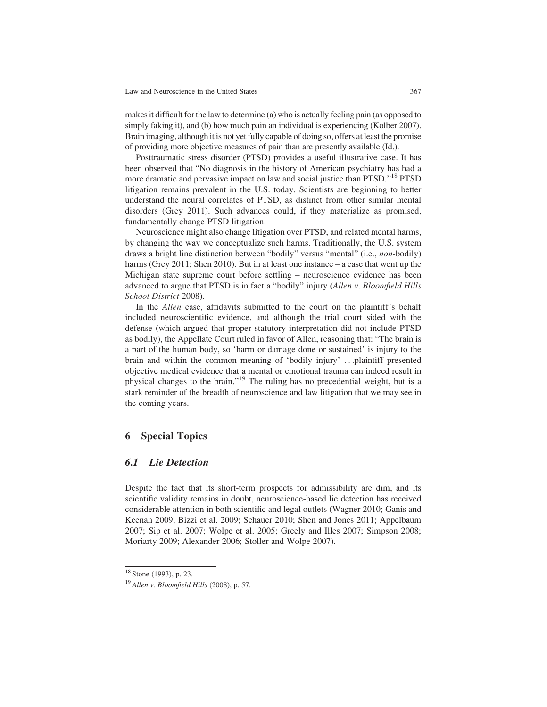makes it difficult for the law to determine (a) who is actually feeling pain (as opposed to simply faking it), and (b) how much pain an individual is experiencing (Kolber 2007). Brain imaging, although it is not yet fully capable of doing so, offers at least the promise of providing more objective measures of pain than are presently available (Id.).

Posttraumatic stress disorder (PTSD) provides a useful illustrative case. It has been observed that "No diagnosis in the history of American psychiatry has had a more dramatic and pervasive impact on law and social justice than PTSD."18 PTSD litigation remains prevalent in the U.S. today. Scientists are beginning to better understand the neural correlates of PTSD, as distinct from other similar mental disorders (Grey 2011). Such advances could, if they materialize as promised, fundamentally change PTSD litigation.

Neuroscience might also change litigation over PTSD, and related mental harms, by changing the way we conceptualize such harms. Traditionally, the U.S. system draws a bright line distinction between "bodily" versus "mental" (i.e., non-bodily) harms (Grey 2011; Shen 2010). But in at least one instance – a case that went up the Michigan state supreme court before settling – neuroscience evidence has been advanced to argue that PTSD is in fact a "bodily" injury (Allen v. Bloomfield Hills School District 2008).

In the Allen case, affidavits submitted to the court on the plaintiff's behalf included neuroscientific evidence, and although the trial court sided with the defense (which argued that proper statutory interpretation did not include PTSD as bodily), the Appellate Court ruled in favor of Allen, reasoning that: "The brain is a part of the human body, so 'harm or damage done or sustained' is injury to the brain and within the common meaning of 'bodily injury' ...plaintiff presented objective medical evidence that a mental or emotional trauma can indeed result in physical changes to the brain."<sup>19</sup> The ruling has no precedential weight, but is a stark reminder of the breadth of neuroscience and law litigation that we may see in the coming years.

# 6 Special Topics

#### 6.1 Lie Detection

Despite the fact that its short-term prospects for admissibility are dim, and its scientific validity remains in doubt, neuroscience-based lie detection has received considerable attention in both scientific and legal outlets (Wagner 2010; Ganis and Keenan 2009; Bizzi et al. 2009; Schauer 2010; Shen and Jones 2011; Appelbaum 2007; Sip et al. 2007; Wolpe et al. 2005; Greely and Illes 2007; Simpson 2008; Moriarty 2009; Alexander 2006; Stoller and Wolpe 2007).

<sup>18</sup> Stone (1993), p. 23.

 $19$  Allen v. Bloomfield Hills (2008), p. 57.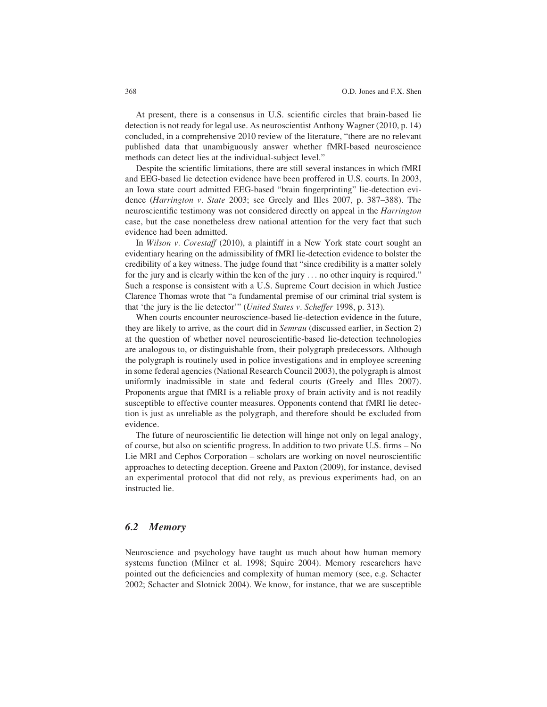At present, there is a consensus in U.S. scientific circles that brain-based lie detection is not ready for legal use. As neuroscientist Anthony Wagner (2010, p. 14) concluded, in a comprehensive 2010 review of the literature, "there are no relevant published data that unambiguously answer whether fMRI-based neuroscience methods can detect lies at the individual-subject level."

Despite the scientific limitations, there are still several instances in which fMRI and EEG-based lie detection evidence have been proffered in U.S. courts. In 2003, an Iowa state court admitted EEG-based "brain fingerprinting" lie-detection evidence (Harrington v. State 2003; see Greely and Illes 2007, p. 387–388). The neuroscientific testimony was not considered directly on appeal in the Harrington case, but the case nonetheless drew national attention for the very fact that such evidence had been admitted.

In *Wilson v. Corestaff* (2010), a plaintiff in a New York state court sought an evidentiary hearing on the admissibility of fMRI lie-detection evidence to bolster the credibility of a key witness. The judge found that "since credibility is a matter solely for the jury and is clearly within the ken of the jury ... no other inquiry is required." Such a response is consistent with a U.S. Supreme Court decision in which Justice Clarence Thomas wrote that "a fundamental premise of our criminal trial system is that 'the jury is the lie detector'" (United States v. Scheffer 1998, p. 313).

When courts encounter neuroscience-based lie-detection evidence in the future, they are likely to arrive, as the court did in Semrau (discussed earlier, in Section 2) at the question of whether novel neuroscientific-based lie-detection technologies are analogous to, or distinguishable from, their polygraph predecessors. Although the polygraph is routinely used in police investigations and in employee screening in some federal agencies (National Research Council 2003), the polygraph is almost uniformly inadmissible in state and federal courts (Greely and Illes 2007). Proponents argue that fMRI is a reliable proxy of brain activity and is not readily susceptible to effective counter measures. Opponents contend that fMRI lie detection is just as unreliable as the polygraph, and therefore should be excluded from evidence.

The future of neuroscientific lie detection will hinge not only on legal analogy, of course, but also on scientific progress. In addition to two private U.S. firms – No Lie MRI and Cephos Corporation – scholars are working on novel neuroscientific approaches to detecting deception. Greene and Paxton (2009), for instance, devised an experimental protocol that did not rely, as previous experiments had, on an instructed lie.

#### 6.2 Memory

Neuroscience and psychology have taught us much about how human memory systems function (Milner et al. 1998; Squire 2004). Memory researchers have pointed out the deficiencies and complexity of human memory (see, e.g. Schacter 2002; Schacter and Slotnick 2004). We know, for instance, that we are susceptible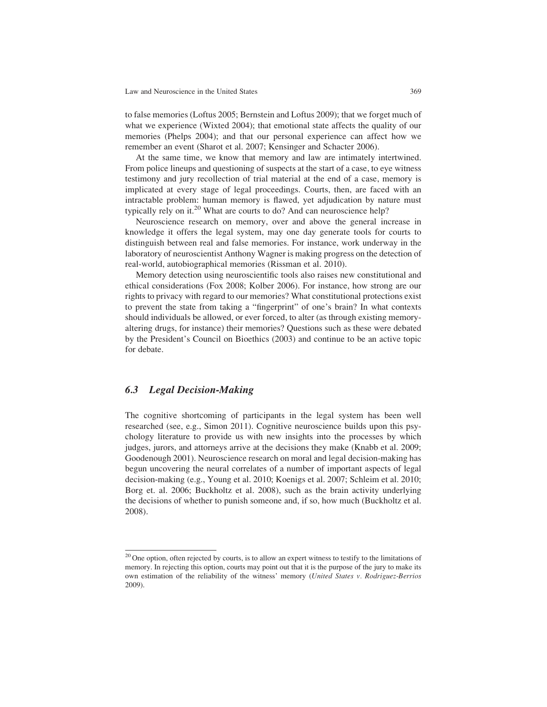to false memories (Loftus 2005; Bernstein and Loftus 2009); that we forget much of what we experience (Wixted 2004); that emotional state affects the quality of our memories (Phelps 2004); and that our personal experience can affect how we remember an event (Sharot et al. 2007; Kensinger and Schacter 2006).

At the same time, we know that memory and law are intimately intertwined. From police lineups and questioning of suspects at the start of a case, to eye witness testimony and jury recollection of trial material at the end of a case, memory is implicated at every stage of legal proceedings. Courts, then, are faced with an intractable problem: human memory is flawed, yet adjudication by nature must typically rely on it.<sup>20</sup> What are courts to do? And can neuroscience help?

Neuroscience research on memory, over and above the general increase in knowledge it offers the legal system, may one day generate tools for courts to distinguish between real and false memories. For instance, work underway in the laboratory of neuroscientist Anthony Wagner is making progress on the detection of real-world, autobiographical memories (Rissman et al. 2010).

Memory detection using neuroscientific tools also raises new constitutional and ethical considerations (Fox 2008; Kolber 2006). For instance, how strong are our rights to privacy with regard to our memories? What constitutional protections exist to prevent the state from taking a "fingerprint" of one's brain? In what contexts should individuals be allowed, or ever forced, to alter (as through existing memoryaltering drugs, for instance) their memories? Questions such as these were debated by the President's Council on Bioethics (2003) and continue to be an active topic for debate.

#### 6.3 Legal Decision-Making

The cognitive shortcoming of participants in the legal system has been well researched (see, e.g., Simon 2011). Cognitive neuroscience builds upon this psychology literature to provide us with new insights into the processes by which judges, jurors, and attorneys arrive at the decisions they make (Knabb et al. 2009; Goodenough 2001). Neuroscience research on moral and legal decision-making has begun uncovering the neural correlates of a number of important aspects of legal decision-making (e.g., Young et al. 2010; Koenigs et al. 2007; Schleim et al. 2010; Borg et. al. 2006; Buckholtz et al. 2008), such as the brain activity underlying the decisions of whether to punish someone and, if so, how much (Buckholtz et al. 2008).

<sup>&</sup>lt;sup>20</sup> One option, often rejected by courts, is to allow an expert witness to testify to the limitations of memory. In rejecting this option, courts may point out that it is the purpose of the jury to make its own estimation of the reliability of the witness' memory (United States v. Rodriguez-Berrios 2009).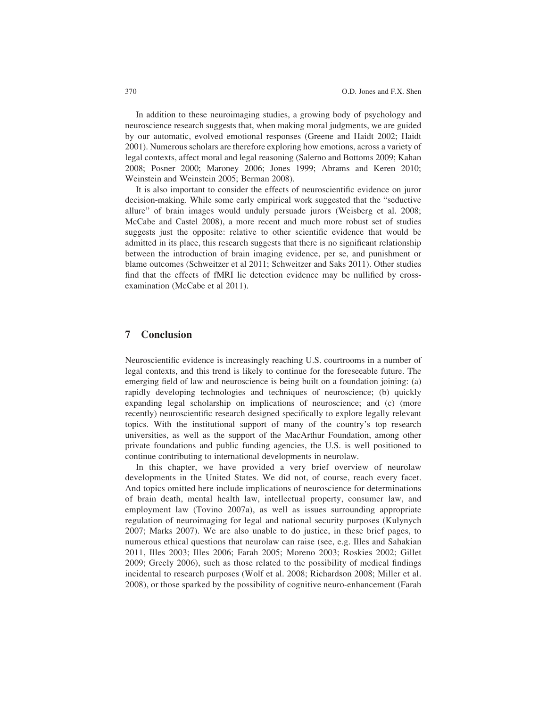In addition to these neuroimaging studies, a growing body of psychology and neuroscience research suggests that, when making moral judgments, we are guided by our automatic, evolved emotional responses (Greene and Haidt 2002; Haidt 2001). Numerous scholars are therefore exploring how emotions, across a variety of legal contexts, affect moral and legal reasoning (Salerno and Bottoms 2009; Kahan 2008; Posner 2000; Maroney 2006; Jones 1999; Abrams and Keren 2010; Weinstein and Weinstein 2005; Berman 2008).

It is also important to consider the effects of neuroscientific evidence on juror decision-making. While some early empirical work suggested that the "seductive allure" of brain images would unduly persuade jurors (Weisberg et al. 2008; McCabe and Castel 2008), a more recent and much more robust set of studies suggests just the opposite: relative to other scientific evidence that would be admitted in its place, this research suggests that there is no significant relationship between the introduction of brain imaging evidence, per se, and punishment or blame outcomes (Schweitzer et al 2011; Schweitzer and Saks 2011). Other studies find that the effects of fMRI lie detection evidence may be nullified by crossexamination (McCabe et al 2011).

#### 7 Conclusion

Neuroscientific evidence is increasingly reaching U.S. courtrooms in a number of legal contexts, and this trend is likely to continue for the foreseeable future. The emerging field of law and neuroscience is being built on a foundation joining: (a) rapidly developing technologies and techniques of neuroscience; (b) quickly expanding legal scholarship on implications of neuroscience; and (c) (more recently) neuroscientific research designed specifically to explore legally relevant topics. With the institutional support of many of the country's top research universities, as well as the support of the MacArthur Foundation, among other private foundations and public funding agencies, the U.S. is well positioned to continue contributing to international developments in neurolaw.

In this chapter, we have provided a very brief overview of neurolaw developments in the United States. We did not, of course, reach every facet. And topics omitted here include implications of neuroscience for determinations of brain death, mental health law, intellectual property, consumer law, and employment law (Tovino 2007a), as well as issues surrounding appropriate regulation of neuroimaging for legal and national security purposes (Kulynych 2007; Marks 2007). We are also unable to do justice, in these brief pages, to numerous ethical questions that neurolaw can raise (see, e.g. Illes and Sahakian 2011, Illes 2003; Illes 2006; Farah 2005; Moreno 2003; Roskies 2002; Gillet 2009; Greely 2006), such as those related to the possibility of medical findings incidental to research purposes (Wolf et al. 2008; Richardson 2008; Miller et al. 2008), or those sparked by the possibility of cognitive neuro-enhancement (Farah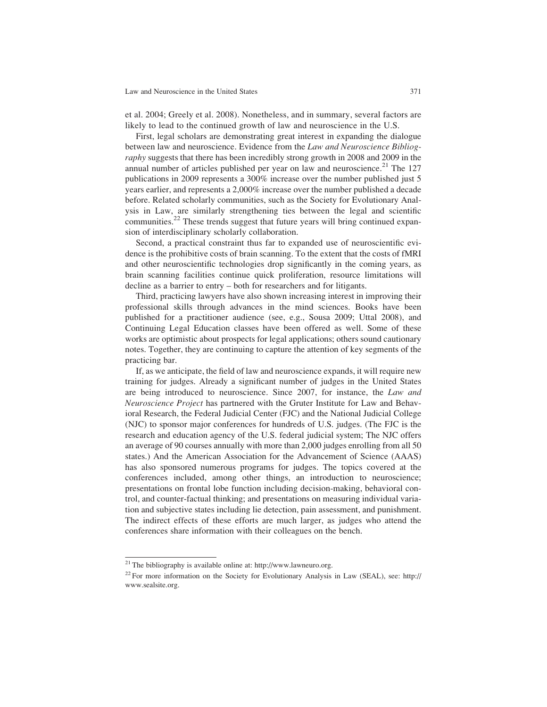et al. 2004; Greely et al. 2008). Nonetheless, and in summary, several factors are likely to lead to the continued growth of law and neuroscience in the U.S.

First, legal scholars are demonstrating great interest in expanding the dialogue between law and neuroscience. Evidence from the Law and Neuroscience Bibliography suggests that there has been incredibly strong growth in 2008 and 2009 in the annual number of articles published per year on law and neuroscience.<sup>21</sup> The 127 publications in 2009 represents a 300% increase over the number published just 5 years earlier, and represents a 2,000% increase over the number published a decade before. Related scholarly communities, such as the Society for Evolutionary Analysis in Law, are similarly strengthening ties between the legal and scientific communities. $22$  These trends suggest that future years will bring continued expansion of interdisciplinary scholarly collaboration.

Second, a practical constraint thus far to expanded use of neuroscientific evidence is the prohibitive costs of brain scanning. To the extent that the costs of fMRI and other neuroscientific technologies drop significantly in the coming years, as brain scanning facilities continue quick proliferation, resource limitations will decline as a barrier to entry – both for researchers and for litigants.

Third, practicing lawyers have also shown increasing interest in improving their professional skills through advances in the mind sciences. Books have been published for a practitioner audience (see, e.g., Sousa 2009; Uttal 2008), and Continuing Legal Education classes have been offered as well. Some of these works are optimistic about prospects for legal applications; others sound cautionary notes. Together, they are continuing to capture the attention of key segments of the practicing bar.

If, as we anticipate, the field of law and neuroscience expands, it will require new training for judges. Already a significant number of judges in the United States are being introduced to neuroscience. Since 2007, for instance, the Law and Neuroscience Project has partnered with the Gruter Institute for Law and Behavioral Research, the Federal Judicial Center (FJC) and the National Judicial College (NJC) to sponsor major conferences for hundreds of U.S. judges. (The FJC is the research and education agency of the U.S. federal judicial system; The NJC offers an average of 90 courses annually with more than 2,000 judges enrolling from all 50 states.) And the American Association for the Advancement of Science (AAAS) has also sponsored numerous programs for judges. The topics covered at the conferences included, among other things, an introduction to neuroscience; presentations on frontal lobe function including decision-making, behavioral control, and counter-factual thinking; and presentations on measuring individual variation and subjective states including lie detection, pain assessment, and punishment. The indirect effects of these efforts are much larger, as judges who attend the conferences share information with their colleagues on the bench.

<sup>21</sup> The bibliography is available online at: http://www.lawneuro.org.

 $22$  For more information on the Society for Evolutionary Analysis in Law (SEAL), see: http:// www.sealsite.org.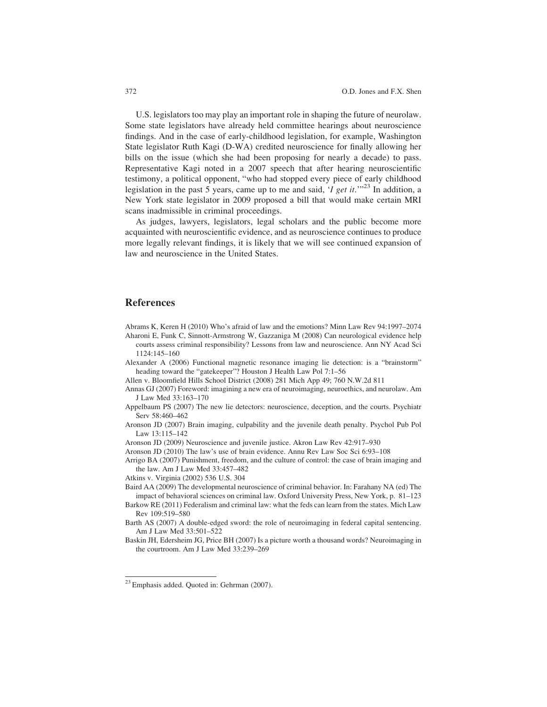U.S. legislators too may play an important role in shaping the future of neurolaw. Some state legislators have already held committee hearings about neuroscience findings. And in the case of early-childhood legislation, for example, Washington State legislator Ruth Kagi (D-WA) credited neuroscience for finally allowing her bills on the issue (which she had been proposing for nearly a decade) to pass. Representative Kagi noted in a 2007 speech that after hearing neuroscientific testimony, a political opponent, "who had stopped every piece of early childhood legislation in the past 5 years, came up to me and said, '*I get it.*'<sup>23</sup> In addition, a New York state legislator in 2009 proposed a bill that would make certain MRI scans inadmissible in criminal proceedings.

As judges, lawyers, legislators, legal scholars and the public become more acquainted with neuroscientific evidence, and as neuroscience continues to produce more legally relevant findings, it is likely that we will see continued expansion of law and neuroscience in the United States.

#### References

- Abrams K, Keren H (2010) Who's afraid of law and the emotions? Minn Law Rev 94:1997–2074 Aharoni E, Funk C, Sinnott-Armstrong W, Gazzaniga M (2008) Can neurological evidence help
- courts assess criminal responsibility? Lessons from law and neuroscience. Ann NY Acad Sci 1124:145–160
- Alexander A (2006) Functional magnetic resonance imaging lie detection: is a "brainstorm" heading toward the "gatekeeper"? Houston J Health Law Pol 7:1–56
- Allen v. Bloomfield Hills School District (2008) 281 Mich App 49; 760 N.W.2d 811
- Annas GJ (2007) Foreword: imagining a new era of neuroimaging, neuroethics, and neurolaw. Am J Law Med 33:163–170
- Appelbaum PS (2007) The new lie detectors: neuroscience, deception, and the courts. Psychiatr Serv 58:460–462
- Aronson JD (2007) Brain imaging, culpability and the juvenile death penalty. Psychol Pub Pol Law 13:115–142

- Aronson JD (2010) The law's use of brain evidence. Annu Rev Law Soc Sci 6:93–108
- Arrigo BA (2007) Punishment, freedom, and the culture of control: the case of brain imaging and the law. Am J Law Med 33:457–482

Atkins v. Virginia (2002) 536 U.S. 304

- Baird AA (2009) The developmental neuroscience of criminal behavior. In: Farahany NA (ed) The impact of behavioral sciences on criminal law. Oxford University Press, New York, p. 81–123
- Barkow RE (2011) Federalism and criminal law: what the feds can learn from the states. Mich Law Rev 109:519–580
- Barth AS (2007) A double-edged sword: the role of neuroimaging in federal capital sentencing. Am J Law Med 33:501–522

Aronson JD (2009) Neuroscience and juvenile justice. Akron Law Rev 42:917–930

Baskin JH, Edersheim JG, Price BH (2007) Is a picture worth a thousand words? Neuroimaging in the courtroom. Am J Law Med 33:239–269

<sup>23</sup> Emphasis added. Quoted in: Gehrman (2007).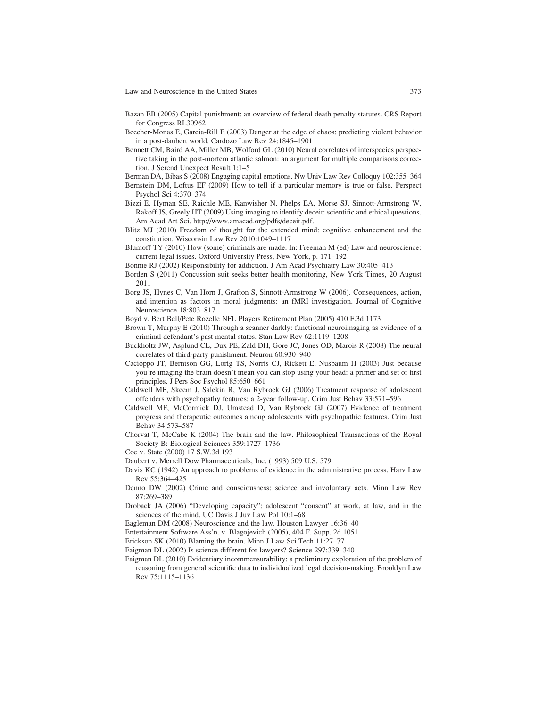- Bazan EB (2005) Capital punishment: an overview of federal death penalty statutes. CRS Report for Congress RL30962
- Beecher-Monas E, Garcia-Rill E (2003) Danger at the edge of chaos: predicting violent behavior in a post-daubert world. Cardozo Law Rev 24:1845–1901
- Bennett CM, Baird AA, Miller MB, Wolford GL (2010) Neural correlates of interspecies perspective taking in the post-mortem atlantic salmon: an argument for multiple comparisons correction. J Serend Unexpect Result 1:1–5
- Berman DA, Bibas S (2008) Engaging capital emotions. Nw Univ Law Rev Colloquy 102:355–364
- Bernstein DM, Loftus EF (2009) How to tell if a particular memory is true or false. Perspect Psychol Sci 4:370–374
- Bizzi E, Hyman SE, Raichle ME, Kanwisher N, Phelps EA, Morse SJ, Sinnott-Armstrong W, Rakoff JS, Greely HT (2009) Using imaging to identify deceit: scientific and ethical questions. Am Acad Art Sci. http://www.amacad.org/pdfs/deceit.pdf.
- Blitz MJ (2010) Freedom of thought for the extended mind: cognitive enhancement and the constitution. Wisconsin Law Rev 2010:1049–1117
- Blumoff TY (2010) How (some) criminals are made. In: Freeman M (ed) Law and neuroscience: current legal issues. Oxford University Press, New York, p. 171–192
- Bonnie RJ (2002) Responsibility for addiction. J Am Acad Psychiatry Law 30:405–413
- Borden S (2011) Concussion suit seeks better health monitoring, New York Times, 20 August 2011
- Borg JS, Hynes C, Van Horn J, Grafton S, Sinnott-Armstrong W (2006). Consequences, action, and intention as factors in moral judgments: an fMRI investigation. Journal of Cognitive Neuroscience 18:803–817
- Boyd v. Bert Bell/Pete Rozelle NFL Players Retirement Plan (2005) 410 F.3d 1173
- Brown T, Murphy E (2010) Through a scanner darkly: functional neuroimaging as evidence of a criminal defendant's past mental states. Stan Law Rev 62:1119–1208
- Buckholtz JW, Asplund CL, Dux PE, Zald DH, Gore JC, Jones OD, Marois R (2008) The neural correlates of third-party punishment. Neuron 60:930–940
- Cacioppo JT, Berntson GG, Lorig TS, Norris CJ, Rickett E, Nusbaum H (2003) Just because you're imaging the brain doesn't mean you can stop using your head: a primer and set of first principles. J Pers Soc Psychol 85:650–661
- Caldwell MF, Skeem J, Salekin R, Van Rybroek GJ (2006) Treatment response of adolescent offenders with psychopathy features: a 2-year follow-up. Crim Just Behav 33:571–596
- Caldwell MF, McCormick DJ, Umstead D, Van Rybroek GJ (2007) Evidence of treatment progress and therapeutic outcomes among adolescents with psychopathic features. Crim Just Behav 34:573–587
- Chorvat T, McCabe K (2004) The brain and the law. Philosophical Transactions of the Royal Society B: Biological Sciences 359:1727–1736
- Coe v. State (2000) 17 S.W.3d 193
- Daubert v. Merrell Dow Pharmaceuticals, Inc. (1993) 509 U.S. 579
- Davis KC (1942) An approach to problems of evidence in the administrative process. Harv Law Rev 55:364–425
- Denno DW (2002) Crime and consciousness: science and involuntary acts. Minn Law Rev 87:269–389
- Droback JA (2006) "Developing capacity": adolescent "consent" at work, at law, and in the sciences of the mind. UC Davis J Juv Law Pol 10:1–68
- Eagleman DM (2008) Neuroscience and the law. Houston Lawyer 16:36–40

Entertainment Software Ass'n. v. Blagojevich (2005), 404 F. Supp. 2d 1051

- Erickson SK (2010) Blaming the brain. Minn J Law Sci Tech 11:27–77
- Faigman DL (2002) Is science different for lawyers? Science 297:339–340
- Faigman DL (2010) Evidentiary incommensurability: a preliminary exploration of the problem of reasoning from general scientific data to individualized legal decision-making. Brooklyn Law Rev 75:1115–1136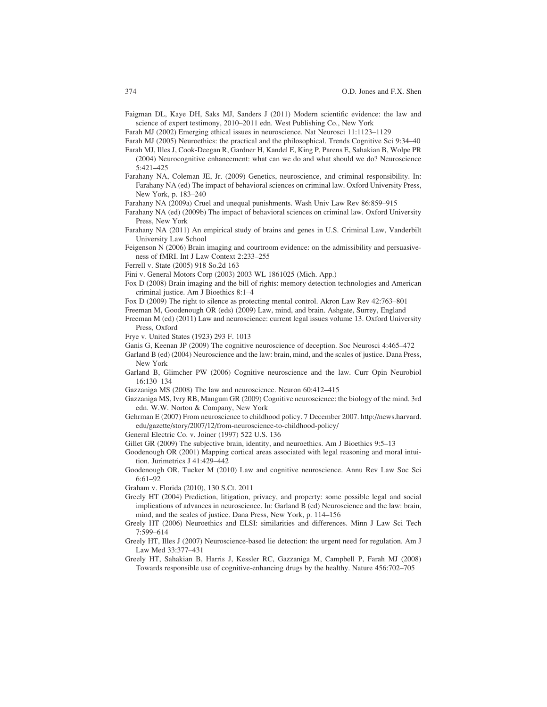Faigman DL, Kaye DH, Saks MJ, Sanders J (2011) Modern scientific evidence: the law and science of expert testimony, 2010–2011 edn. West Publishing Co., New York

Farah MJ (2002) Emerging ethical issues in neuroscience. Nat Neurosci 11:1123–1129

- Farah MJ (2005) Neuroethics: the practical and the philosophical. Trends Cognitive Sci 9:34–40
- Farah MJ, Illes J, Cook-Deegan R, Gardner H, Kandel E, King P, Parens E, Sahakian B, Wolpe PR (2004) Neurocognitive enhancement: what can we do and what should we do? Neuroscience 5:421–425
- Farahany NA, Coleman JE, Jr. (2009) Genetics, neuroscience, and criminal responsibility. In: Farahany NA (ed) The impact of behavioral sciences on criminal law. Oxford University Press, New York, p. 183–240
- Farahany NA (2009a) Cruel and unequal punishments. Wash Univ Law Rev 86:859–915
- Farahany NA (ed) (2009b) The impact of behavioral sciences on criminal law. Oxford University Press, New York
- Farahany NA (2011) An empirical study of brains and genes in U.S. Criminal Law, Vanderbilt University Law School
- Feigenson N (2006) Brain imaging and courtroom evidence: on the admissibility and persuasiveness of fMRI. Int J Law Context 2:233–255
- Ferrell v. State (2005) 918 So.2d 163
- Fini v. General Motors Corp (2003) 2003 WL 1861025 (Mich. App.)
- Fox D (2008) Brain imaging and the bill of rights: memory detection technologies and American criminal justice. Am J Bioethics 8:1–4

Fox D (2009) The right to silence as protecting mental control. Akron Law Rev 42:763–801

- Freeman M, Goodenough OR (eds) (2009) Law, mind, and brain. Ashgate, Surrey, England
- Freeman M (ed) (2011) Law and neuroscience: current legal issues volume 13. Oxford University Press, Oxford
- Frye v. United States (1923) 293 F. 1013
- Ganis G, Keenan JP (2009) The cognitive neuroscience of deception. Soc Neurosci 4:465–472
- Garland B (ed) (2004) Neuroscience and the law: brain, mind, and the scales of justice. Dana Press, New York
- Garland B, Glimcher PW (2006) Cognitive neuroscience and the law. Curr Opin Neurobiol 16:130–134
- Gazzaniga MS (2008) The law and neuroscience. Neuron 60:412–415
- Gazzaniga MS, Ivry RB, Mangum GR (2009) Cognitive neuroscience: the biology of the mind. 3rd edn. W.W. Norton & Company, New York
- Gehrman E (2007) From neuroscience to childhood policy. 7 December 2007. http://news.harvard. edu/gazette/story/2007/12/from-neuroscience-to-childhood-policy/
- General Electric Co. v. Joiner (1997) 522 U.S. 136
- Gillet GR (2009) The subjective brain, identity, and neuroethics. Am J Bioethics 9:5–13
- Goodenough OR (2001) Mapping cortical areas associated with legal reasoning and moral intuition. Jurimetrics J 41:429–442
- Goodenough OR, Tucker M (2010) Law and cognitive neuroscience. Annu Rev Law Soc Sci 6:61–92

Graham v. Florida (2010), 130 S.Ct. 2011

- Greely HT (2004) Prediction, litigation, privacy, and property: some possible legal and social implications of advances in neuroscience. In: Garland B (ed) Neuroscience and the law: brain, mind, and the scales of justice. Dana Press, New York, p. 114–156
- Greely HT (2006) Neuroethics and ELSI: similarities and differences. Minn J Law Sci Tech 7:599–614
- Greely HT, Illes J (2007) Neuroscience-based lie detection: the urgent need for regulation. Am J Law Med 33:377–431
- Greely HT, Sahakian B, Harris J, Kessler RC, Gazzaniga M, Campbell P, Farah MJ (2008) Towards responsible use of cognitive-enhancing drugs by the healthy. Nature 456:702–705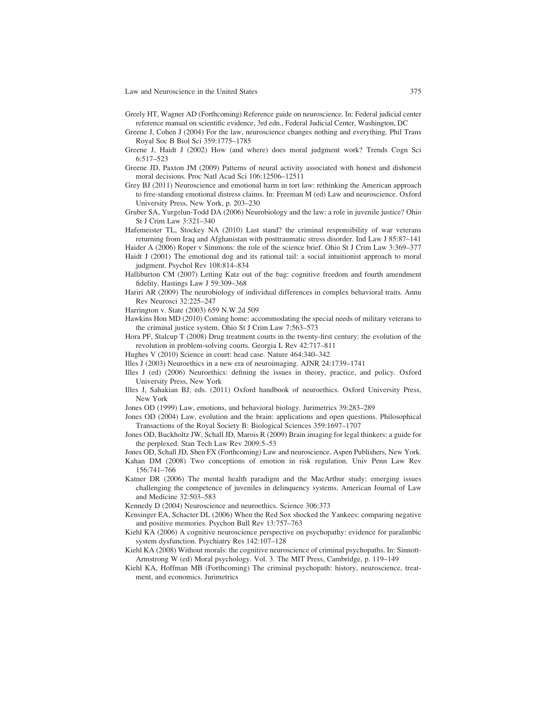Law and Neuroscience in the United States 375

- Greely HT, Wagner AD (Forthcoming) Reference guide on neuroscience. In: Federal judicial center reference manual on scientific evidence, 3rd edn., Federal Judicial Center, Washington, DC
- Greene J, Cohen J (2004) For the law, neuroscience changes nothing and everything. Phil Trans Royal Soc B Biol Sci 359:1775–1785
- Greene J, Haidt J (2002) How (and where) does moral judgment work? Trends Cogn Sci 6:517–523
- Greene JD, Paxton JM (2009) Patterns of neural activity associated with honest and dishonest moral decisions. Proc Natl Acad Sci 106:12506–12511
- Grey BJ (2011) Neuroscience and emotional harm in tort law: rethinking the American approach to free-standing emotional distress claims. In: Freeman M (ed) Law and neuroscience. Oxford University Press, New York, p. 203–230
- Gruber SA, Yurgelun-Todd DA (2006) Neurobiology and the law: a role in juvenile justice? Ohio St J Crim Law 3:321–340
- Hafemeister TL, Stockey NA (2010) Last stand? the criminal responsibility of war veterans returning from Iraq and Afghanistan with posttraumatic stress disorder. Ind Law J 85:87–141

Haider A (2006) Roper v Simmons: the role of the science brief. Ohio St J Crim Law 3:369–377 Haidt J (2001) The emotional dog and its rational tail: a social intuitionist approach to moral judgment. Psychol Rev 108:814–834

- Halliburton CM (2007) Letting Katz out of the bag: cognitive freedom and fourth amendment fidelity. Hastings Law J 59:309–368
- Hariri AR (2009) The neurobiology of individual differences in complex behavioral traits. Annu Rev Neurosci 32:225–247
- Harrington v. State (2003) 659 N.W.2d 509
- Hawkins Hon MD (2010) Coming home: accommodating the special needs of military veterans to the criminal justice system. Ohio St J Crim Law 7:563–573
- Hora PF, Stalcup T (2008) Drug treatment courts in the twenty-first century: the evolution of the revolution in problem-solving courts. Georgia L Rev 42:717–811
- Hughes V (2010) Science in court: head case. Nature 464:340–342
- Illes J (2003) Neuroethics in a new era of neuroimaging. AJNR 24:1739–1741
- Illes J (ed) (2006) Neuroethics: defining the issues in theory, practice, and policy. Oxford University Press, New York
- Illes J, Sahakian BJ, eds. (2011) Oxford handbook of neuroethics. Oxford University Press, New York
- Jones OD (1999) Law, emotions, and behavioral biology. Jurimetrics 39:283–289
- Jones OD (2004) Law, evolution and the brain: applications and open questions. Philosophical Transactions of the Royal Society B: Biological Sciences 359:1697–1707
- Jones OD, Buckholtz JW, Schall JD, Marois R (2009) Brain imaging for legal thinkers: a guide for the perplexed. Stan Tech Law Rev 2009:5–53
- Jones OD, Schall JD, Shen FX (Forthcoming) Law and neuroscience. Aspen Publishers, New York.
- Kahan DM (2008) Two conceptions of emotion in risk regulation. Univ Penn Law Rev 156:741–766
- Katner DR (2006) The mental health paradigm and the MacArthur study: emerging issues challenging the competence of juveniles in delinquency systems. American Journal of Law and Medicine 32:503–583
- Kennedy D (2004) Neuroscience and neuroethics. Science 306:373
- Kensinger EA, Schacter DL (2006) When the Red Sox shocked the Yankees: comparing negative and positive memories. Psychon Bull Rev 13:757–763
- Kiehl KA (2006) A cognitive neuroscience perspective on psychopathy: evidence for paralimbic system dysfunction. Psychiatry Res 142:107–128
- Kiehl KA (2008) Without morals: the cognitive neuroscience of criminal psychopaths. In: Sinnott-Armstrong W (ed) Moral psychology. Vol. 3. The MIT Press, Cambridge, p. 119–149
- Kiehl KA, Hoffman MB (Forthcoming) The criminal psychopath: history, neuroscience, treatment, and economics. Jurimetrics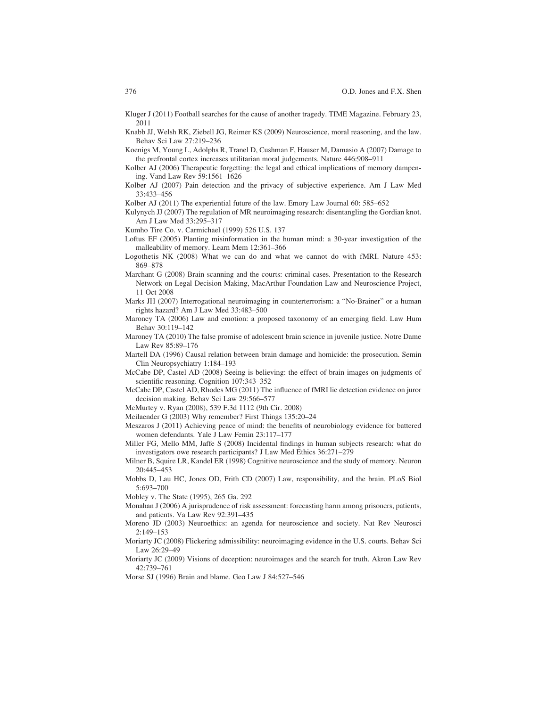Kluger J (2011) Football searches for the cause of another tragedy. TIME Magazine. February 23, 2011

Knabb JJ, Welsh RK, Ziebell JG, Reimer KS (2009) Neuroscience, moral reasoning, and the law. Behav Sci Law 27:219–236

Koenigs M, Young L, Adolphs R, Tranel D, Cushman F, Hauser M, Damasio A (2007) Damage to the prefrontal cortex increases utilitarian moral judgements. Nature 446:908–911

- Kolber AJ (2006) Therapeutic forgetting: the legal and ethical implications of memory dampening. Vand Law Rev 59:1561–1626
- Kolber AJ (2007) Pain detection and the privacy of subjective experience. Am J Law Med 33:433–456
- Kolber AJ (2011) The experiential future of the law. Emory Law Journal 60: 585–652

Kulynych JJ (2007) The regulation of MR neuroimaging research: disentangling the Gordian knot. Am J Law Med 33:295–317

Kumho Tire Co. v. Carmichael (1999) 526 U.S. 137

- Loftus EF (2005) Planting misinformation in the human mind: a 30-year investigation of the malleability of memory. Learn Mem 12:361–366
- Logothetis NK (2008) What we can do and what we cannot do with fMRI. Nature 453: 869–878
- Marchant G (2008) Brain scanning and the courts: criminal cases. Presentation to the Research Network on Legal Decision Making, MacArthur Foundation Law and Neuroscience Project, 11 Oct 2008
- Marks JH (2007) Interrogational neuroimaging in counterterrorism: a "No-Brainer" or a human rights hazard? Am J Law Med 33:483–500
- Maroney TA (2006) Law and emotion: a proposed taxonomy of an emerging field. Law Hum Behav 30:119–142
- Maroney TA (2010) The false promise of adolescent brain science in juvenile justice. Notre Dame Law Rev 85:89–176
- Martell DA (1996) Causal relation between brain damage and homicide: the prosecution. Semin Clin Neuropsychiatry 1:184–193
- McCabe DP, Castel AD (2008) Seeing is believing: the effect of brain images on judgments of scientific reasoning. Cognition 107:343–352
- McCabe DP, Castel AD, Rhodes MG (2011) The influence of fMRI lie detection evidence on juror decision making. Behav Sci Law 29:566–577
- McMurtey v. Ryan (2008), 539 F.3d 1112 (9th Cir. 2008)
- Meilaender G (2003) Why remember? First Things 135:20–24
- Meszaros J (2011) Achieving peace of mind: the benefits of neurobiology evidence for battered women defendants. Yale J Law Femin 23:117–177

Miller FG, Mello MM, Jaffe S (2008) Incidental findings in human subjects research: what do investigators owe research participants? J Law Med Ethics 36:271–279

- Milner B, Squire LR, Kandel ER (1998) Cognitive neuroscience and the study of memory. Neuron 20:445–453
- Mobbs D, Lau HC, Jones OD, Frith CD (2007) Law, responsibility, and the brain. PLoS Biol 5:693–700
- Mobley v. The State (1995), 265 Ga. 292
- Monahan J (2006) A jurisprudence of risk assessment: forecasting harm among prisoners, patients, and patients. Va Law Rev 92:391–435
- Moreno JD (2003) Neuroethics: an agenda for neuroscience and society. Nat Rev Neurosci 2:149–153
- Moriarty JC (2008) Flickering admissibility: neuroimaging evidence in the U.S. courts. Behav Sci Law 26:29–49

Moriarty JC (2009) Visions of deception: neuroimages and the search for truth. Akron Law Rev 42:739–761

Morse SJ (1996) Brain and blame. Geo Law J 84:527–546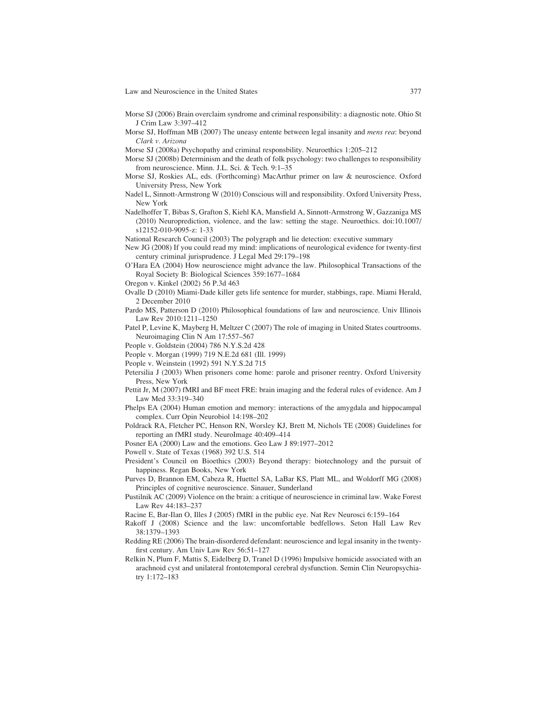- Morse SJ (2006) Brain overclaim syndrome and criminal responsibility: a diagnostic note. Ohio St J Crim Law 3:397–412
- Morse SJ, Hoffman MB (2007) The uneasy entente between legal insanity and mens rea: beyond Clark v. Arizona
- Morse SJ (2008a) Psychopathy and criminal responsbility. Neuroethics 1:205–212
- Morse SJ (2008b) Determinism and the death of folk psychology: two challenges to responsibility from neuroscience. Minn. J.L. Sci. & Tech. 9:1–35
- Morse SJ, Roskies AL, eds. (Forthcoming) MacArthur primer on law & neuroscience. Oxford University Press, New York
- Nadel L, Sinnott-Armstrong W (2010) Conscious will and responsibility. Oxford University Press, New York
- Nadelhoffer T, Bibas S, Grafton S, Kiehl KA, Mansfield A, Sinnott-Armstrong W, Gazzaniga MS (2010) Neuroprediction, violence, and the law: setting the stage. Neuroethics. doi:10.1007/ s12152-010-9095-z: 1-33
- National Research Council (2003) The polygraph and lie detection: executive summary
- New JG (2008) If you could read my mind: implications of neurological evidence for twenty-first century criminal jurisprudence. J Legal Med 29:179–198
- O'Hara EA (2004) How neuroscience might advance the law. Philosophical Transactions of the Royal Society B: Biological Sciences 359:1677–1684
- Oregon v. Kinkel (2002) 56 P.3d 463
- Ovalle D (2010) Miami-Dade killer gets life sentence for murder, stabbings, rape. Miami Herald, 2 December 2010
- Pardo MS, Patterson D (2010) Philosophical foundations of law and neuroscience. Univ Illinois Law Rev 2010:1211–1250
- Patel P, Levine K, Mayberg H, Meltzer C (2007) The role of imaging in United States courtrooms. Neuroimaging Clin N Am 17:557–567
- People v. Goldstein (2004) 786 N.Y.S.2d 428
- People v. Morgan (1999) 719 N.E.2d 681 (Ill. 1999)
- People v. Weinstein (1992) 591 N.Y.S.2d 715
- Petersilia J (2003) When prisoners come home: parole and prisoner reentry. Oxford University Press, New York
- Pettit Jr, M (2007) fMRI and BF meet FRE: brain imaging and the federal rules of evidence. Am J Law Med 33:319–340
- Phelps EA (2004) Human emotion and memory: interactions of the amygdala and hippocampal complex. Curr Opin Neurobiol 14:198–202
- Poldrack RA, Fletcher PC, Henson RN, Worsley KJ, Brett M, Nichols TE (2008) Guidelines for reporting an fMRI study. NeuroImage 40:409–414
- Posner EA (2000) Law and the emotions. Geo Law J 89:1977–2012
- Powell v. State of Texas (1968) 392 U.S. 514
- President's Council on Bioethics (2003) Beyond therapy: biotechnology and the pursuit of happiness. Regan Books, New York
- Purves D, Brannon EM, Cabeza R, Huettel SA, LaBar KS, Platt ML, and Woldorff MG (2008) Principles of cognitive neuroscience. Sinauer, Sunderland
- Pustilnik AC (2009) Violence on the brain: a critique of neuroscience in criminal law. Wake Forest Law Rev 44:183–237
- Racine E, Bar-Ilan O, Illes J (2005) fMRI in the public eye. Nat Rev Neurosci 6:159–164
- Rakoff J (2008) Science and the law: uncomfortable bedfellows. Seton Hall Law Rev 38:1379–1393
- Redding RE (2006) The brain-disordered defendant: neuroscience and legal insanity in the twentyfirst century. Am Univ Law Rev 56:51–127
- Relkin N, Plum F, Mattis S, Eidelberg D, Tranel D (1996) Impulsive homicide associated with an arachnoid cyst and unilateral frontotemporal cerebral dysfunction. Semin Clin Neuropsychiatry 1:172–183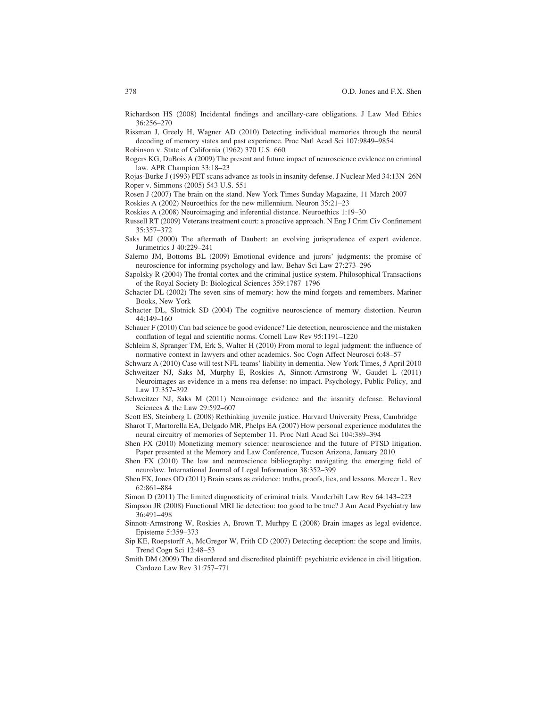Richardson HS (2008) Incidental findings and ancillary-care obligations. J Law Med Ethics 36:256–270

Rissman J, Greely H, Wagner AD (2010) Detecting individual memories through the neural decoding of memory states and past experience. Proc Natl Acad Sci 107:9849–9854

Robinson v. State of California (1962) 370 U.S. 660

Rogers KG, DuBois A (2009) The present and future impact of neuroscience evidence on criminal law. APR Champion 33:18–23

Rojas-Burke J (1993) PET scans advance as tools in insanity defense. J Nuclear Med 34:13N–26N Roper v. Simmons (2005) 543 U.S. 551

Rosen J (2007) The brain on the stand. New York Times Sunday Magazine, 11 March 2007

- Roskies A (2002) Neuroethics for the new millennium. Neuron 35:21–23
- Roskies A (2008) Neuroimaging and inferential distance. Neuroethics 1:19–30
- Russell RT (2009) Veterans treatment court: a proactive approach. N Eng J Crim Civ Confinement 35:357–372
- Saks MJ (2000) The aftermath of Daubert: an evolving jurisprudence of expert evidence. Jurimetrics J 40:229–241
- Salerno JM, Bottoms BL (2009) Emotional evidence and jurors' judgments: the promise of neuroscience for informing psychology and law. Behav Sci Law 27:273–296
- Sapolsky R (2004) The frontal cortex and the criminal justice system. Philosophical Transactions of the Royal Society B: Biological Sciences 359:1787–1796
- Schacter DL (2002) The seven sins of memory: how the mind forgets and remembers. Mariner Books, New York
- Schacter DL, Slotnick SD (2004) The cognitive neuroscience of memory distortion. Neuron 44:149–160

Schauer F (2010) Can bad science be good evidence? Lie detection, neuroscience and the mistaken conflation of legal and scientific norms. Cornell Law Rev 95:1191–1220

Schleim S, Spranger TM, Erk S, Walter H (2010) From moral to legal judgment: the influence of normative context in lawyers and other academics. Soc Cogn Affect Neurosci 6:48–57

Schwarz A (2010) Case will test NFL teams' liability in dementia. New York Times, 5 April 2010 Schweitzer NJ, Saks M, Murphy E, Roskies A, Sinnott-Armstrong W, Gaudet L (2011)

- Neuroimages as evidence in a mens rea defense: no impact. Psychology, Public Policy, and Law 17:357–392
- Schweitzer NJ, Saks M (2011) Neuroimage evidence and the insanity defense. Behavioral Sciences & the Law 29:592–607

Scott ES, Steinberg L (2008) Rethinking juvenile justice. Harvard University Press, Cambridge

- Sharot T, Martorella EA, Delgado MR, Phelps EA (2007) How personal experience modulates the neural circuitry of memories of September 11. Proc Natl Acad Sci 104:389–394
- Shen FX (2010) Monetizing memory science: neuroscience and the future of PTSD litigation. Paper presented at the Memory and Law Conference, Tucson Arizona, January 2010
- Shen FX (2010) The law and neuroscience bibliography: navigating the emerging field of neurolaw. International Journal of Legal Information 38:352–399
- Shen FX, Jones OD (2011) Brain scans as evidence: truths, proofs, lies, and lessons. Mercer L. Rev 62:861–884
- Simon D (2011) The limited diagnosticity of criminal trials. Vanderbilt Law Rev 64:143–223
- Simpson JR (2008) Functional MRI lie detection: too good to be true? J Am Acad Psychiatry law 36:491–498
- Sinnott-Armstrong W, Roskies A, Brown T, Murhpy E (2008) Brain images as legal evidence. Episteme 5:359–373
- Sip KE, Roepstorff A, McGregor W, Frith CD (2007) Detecting deception: the scope and limits. Trend Cogn Sci 12:48–53
- Smith DM (2009) The disordered and discredited plaintiff: psychiatric evidence in civil litigation. Cardozo Law Rev 31:757–771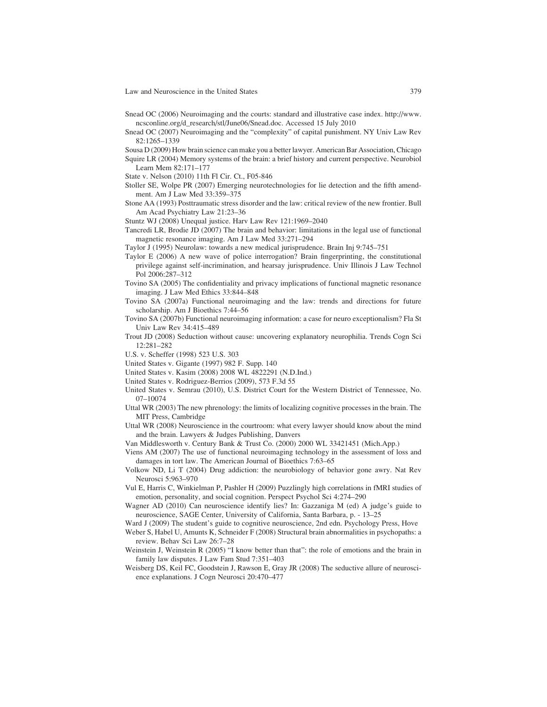Law and Neuroscience in the United States 379

- Snead OC (2006) Neuroimaging and the courts: standard and illustrative case index. http://www. ncsconline.org/d\_research/stl/June06/Snead.doc. Accessed 15 July 2010
- Snead OC (2007) Neuroimaging and the "complexity" of capital punishment. NY Univ Law Rev 82:1265–1339
- Sousa D (2009) How brain science can make you a better lawyer. American Bar Association, Chicago Squire LR (2004) Memory systems of the brain: a brief history and current perspective. Neurobiol
	- Learn Mem 82:171–177
- State v. Nelson (2010) 11th Fl Cir. Ct., F05-846
- Stoller SE, Wolpe PR (2007) Emerging neurotechnologies for lie detection and the fifth amendment. Am J Law Med 33:359–375
- Stone AA (1993) Posttraumatic stress disorder and the law: critical review of the new frontier. Bull Am Acad Psychiatry Law 21:23–36
- Stuntz WJ (2008) Unequal justice. Harv Law Rev 121:1969–2040
- Tancredi LR, Brodie JD (2007) The brain and behavior: limitations in the legal use of functional magnetic resonance imaging. Am J Law Med 33:271–294
- Taylor J (1995) Neurolaw: towards a new medical jurisprudence. Brain Inj 9:745–751
- Taylor E (2006) A new wave of police interrogation? Brain fingerprinting, the constitutional privilege against self-incrimination, and hearsay jurisprudence. Univ Illinois J Law Technol Pol 2006:287–312
- Tovino SA (2005) The confidentiality and privacy implications of functional magnetic resonance imaging. J Law Med Ethics 33:844–848
- Tovino SA (2007a) Functional neuroimaging and the law: trends and directions for future scholarship. Am J Bioethics 7:44–56
- Tovino SA (2007b) Functional neuroimaging information: a case for neuro exceptionalism? Fla St Univ Law Rev 34:415–489
- Trout JD (2008) Seduction without cause: uncovering explanatory neurophilia. Trends Cogn Sci 12:281–282
- U.S. v. Scheffer (1998) 523 U.S. 303
- United States v. Gigante (1997) 982 F. Supp. 140
- United States v. Kasim (2008) 2008 WL 4822291 (N.D.Ind.)
- United States v. Rodriguez-Berrios (2009), 573 F.3d 55
- United States v. Semrau (2010), U.S. District Court for the Western District of Tennessee, No. 07–10074
- Uttal WR (2003) The new phrenology: the limits of localizing cognitive processes in the brain. The MIT Press, Cambridge
- Uttal WR (2008) Neuroscience in the courtroom: what every lawyer should know about the mind and the brain. Lawyers & Judges Publishing, Danvers
- Van Middlesworth v. Century Bank & Trust Co. (2000) 2000 WL 33421451 (Mich.App.)
- Viens AM (2007) The use of functional neuroimaging technology in the assessment of loss and damages in tort law. The American Journal of Bioethics 7:63–65
- Volkow ND, Li T (2004) Drug addiction: the neurobiology of behavior gone awry. Nat Rev Neurosci 5:963–970
- Vul E, Harris C, Winkielman P, Pashler H (2009) Puzzlingly high correlations in fMRI studies of emotion, personality, and social cognition. Perspect Psychol Sci 4:274–290
- Wagner AD (2010) Can neuroscience identify lies? In: Gazzaniga M (ed) A judge's guide to neuroscience, SAGE Center, University of California, Santa Barbara, p. - 13–25
- Ward J (2009) The student's guide to cognitive neuroscience, 2nd edn. Psychology Press, Hove Weber S, Habel U, Amunts K, Schneider F (2008) Structural brain abnormalities in psychopaths: a review. Behav Sci Law 26:7–28
- Weinstein J, Weinstein R (2005) "I know better than that": the role of emotions and the brain in family law disputes. J Law Fam Stud 7:351–403
- Weisberg DS, Keil FC, Goodstein J, Rawson E, Gray JR (2008) The seductive allure of neuroscience explanations. J Cogn Neurosci 20:470–477